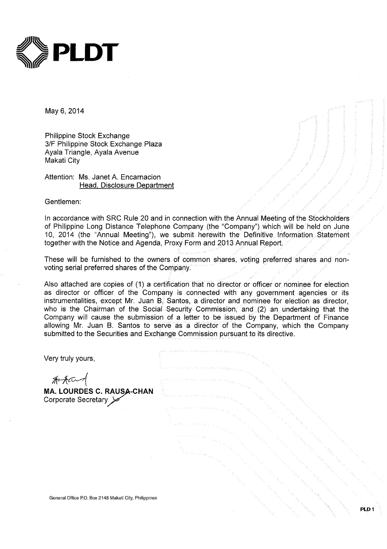

May 6, 2014

Philippine Stock Exchange 3/F Philippine Stock Exchange Plaza Ayala Triangle, Ayala Avenue Makati City

Attention: Ms. Janet A. Encarnacion Head, Disclosure Department

Gentlemen:

In accordance with SRC Rule 20 and in connection with the Annual Meeting of the Stockholders of Philippine Long Distance Telephone Company (the "Company") which will be held on June 10, 2014 (the "Annual Meeting"), we submit herewith the Definitive Information Statement together with the Notice and Agenda, Proxy Form and 2013 Annual Report.

These will be furnished to the owners of common shares, voting preferred shares and nonvoting serial preferred shares of the Company.

Also attached are copies of (1) a certification that no director or officer or nominee for election as director or officer of the Company is connected with any government agencies or its instrumentalities, except Mr. Juan B. Santos, a director and nominee for election as director, who is the Chairman of the Social Security Commission, and (2) an undertaking that the Company will cause the submission of a letter to be issued by the Department of Finance allowing Mr. Juan B. Santos to serve as a director of the Company, which the Company submitted to the Securities and Exchange Commission pursuant to its directive.

| Very truly yours,                                                                  |  |
|------------------------------------------------------------------------------------|--|
| <del><i>《《Accoment》</i>》</del><br>MA. LOURDES C. RAUSA-CHAN<br>Corporate Secretary |  |
|                                                                                    |  |
|                                                                                    |  |
| General Office P.O. Box 2148 Makati City, Philippines                              |  |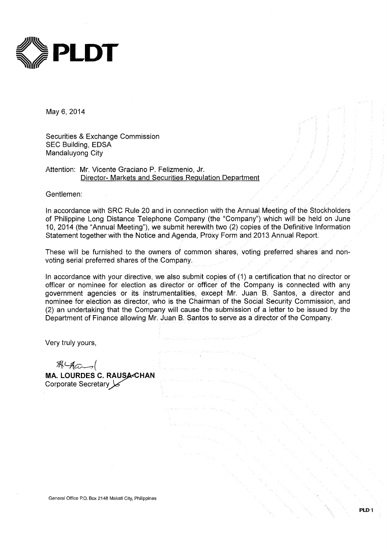

May 6, 2014

Securities & Exchange Commission **SEC Building, EDSA** Mandaluyong City

Attention: Mr. Vicente Graciano P. Felizmenio, Jr. Director- Markets and Securities Regulation Department

Gentlemen:

In accordance with SRC Rule 20 and in connection with the Annual Meeting of the Stockholders of Philippine Long Distance Telephone Company (the "Company") which will be held on June 10, 2014 (the "Annual Meeting"), we submit herewith two (2) copies of the Definitive Information Statement together with the Notice and Agenda, Proxy Form and 2013 Annual Report.

These will be furnished to the owners of common shares, voting preferred shares and nonvoting serial preferred shares of the Company.

In accordance with your directive, we also submit copies of (1) a certification that no director or officer or nominee for election as director or officer of the Company is connected with any government agencies or its instrumentalities, except Mr. Juan B. Santos, a director and nominee for election as director, who is the Chairman of the Social Security Commission, and (2) an undertaking that the Company will cause the submission of a letter to be issued by the Department of Finance allowing Mr. Juan B. Santos to serve as a director of the Company.

Very truly yours,

 $\mathcal{R}$   $\mathcal{A}$   $\alpha$ 

MA. LOURDES C. RAUSA-CHAN Corporate Secretary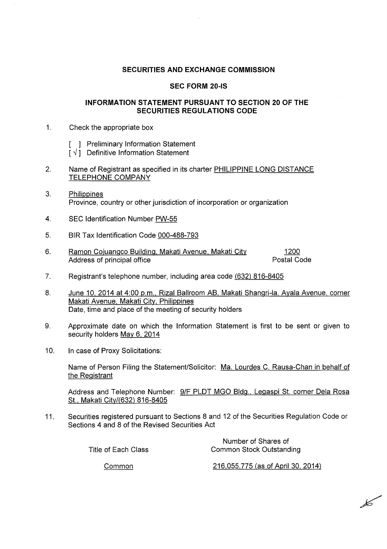## **SECURITIES AND EXCHANGE COMMISSION**

## **SEC FORM 20-IS**

## **INFORMATION STATEMENT PURSUANT TO SECTION 20 OF THE SECURITIES REGULATIONS CODE**

- $\mathbf{1}$ . Check the appropriate box
	- [ ] Preliminary Information Statement
	- $\lceil \sqrt{1} \rceil$  Definitive Information Statement
- 2. Name of Registrant as specified in its charter PHILIPPINE LONG DISTANCE **TELEPHONE COMPANY**
- $3.$ Philippines Province, country or other jurisdiction of incorporation or organization
- SEC Identification Number PW-55  $\overline{4}$ .
- 5. BIR Tax Identification Code 000-488-793
- 6. Ramon Cojuangco Building, Makati Avenue, Makati City 1200 Address of principal office Postal Code
- $7<sub>1</sub>$ Registrant's telephone number, including area code (632) 816-8405
- 8. June 10, 2014 at 4:00 p.m., Rizal Ballroom AB, Makati Shangri-la, Ayala Avenue, corner Makati Avenue, Makati City, Philippines Date, time and place of the meeting of security holders
- Approximate date on which the Information Statement is first to be sent or given to 9. security holders May 6, 2014
- $10<sub>1</sub>$ In case of Proxy Solicitations:

Name of Person Filing the Statement/Solicitor: Ma. Lourdes C. Rausa-Chan in behalf of the Registrant

Address and Telephone Number: 9/F PLDT MGO Bldg., Legaspi St. corner Dela Rosa St., Makati City/(632) 816-8405

Securities registered pursuant to Sections 8 and 12 of the Securities Regulation Code or  $11.$ Sections 4 and 8 of the Revised Securities Act

Title of Each Class

Number of Shares of **Common Stock Outstanding** 

Common

216,055,775 (as of April 30, 2014)

 $\cancel{\mathscr{L}}$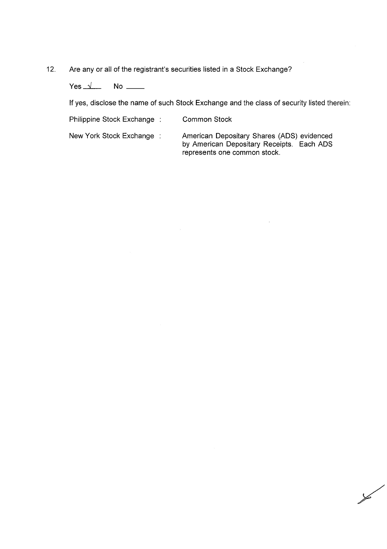$12.$ Are any or all of the registrant's securities listed in a Stock Exchange?

Yes  $\sqrt{ }$ 

If yes, disclose the name of such Stock Exchange and the class of security listed therein:

Philippine Stock Exchange:

**Common Stock** 

New York Stock Exchange :

American Depositary Shares (ADS) evidenced by American Depositary Receipts. Each ADS<br>represents one common stock.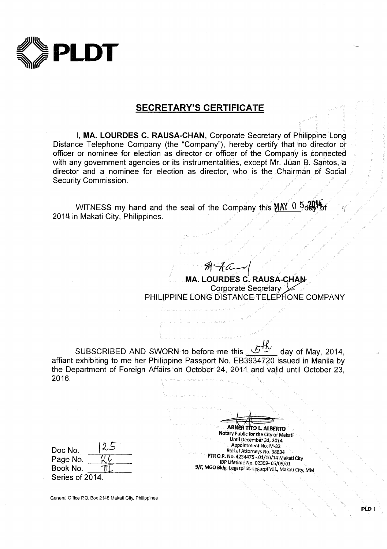

## **SECRETARY'S CERTIFICATE**

I, MA. LOURDES C. RAUSA-CHAN, Corporate Secretary of Philippine Long Distance Telephone Company (the "Company"), hereby certify that no director or officer or nominee for election as director or officer of the Company is connected with any government agencies or its instrumentalities, except Mr. Juan B. Santos, a director and a nominee for election as director, who is the Chairman of Social Security Commission.

WITNESS my hand and the seal of the Company this MAY 0 5day 6 2014 in Makati City, Philippines.

> **Corporate Secretary** PHILIPPINE LONG DISTANCE TELEPHONE COMPANY

**MA. LOURDES C. RAUSA-CHAN** 

SUBSCRIBED AND SWORN to before me this  $6\frac{H}{V}$ day of May, 2014. affiant exhibiting to me her Philippine Passport No. EB3934720 issued in Manila by the Department of Foreign Affairs on October 24, 2011 and valid until October 23, 2016.

**ABNER TITO L. ALBERTO** Notary Public for the City of Makati Until December 31, 2014 Appointment No. M-82 Roll of Attorneys No. 38834 PTR O.R. No. 4234475 - 01/10/14 Makati City IBP Lifetime No. 02359-05/09/01 9/F, MGO Bldg. Legazpi St. Legazpi Vill., Makati City, MN

| Doc No.         | 12.5 |
|-----------------|------|
| Page No.        |      |
| Book No.        |      |
| Series of 2014. |      |

General Office P.O. Box 2148 Makati City, Philippines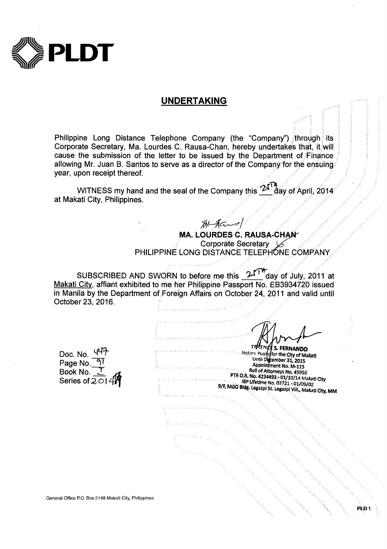

## **UNDERTAKING**

Philippine Long Distance Telephone Company (the "Company") through its Corporate Secretary, Ma. Lourdes C. Rausa-Chan, hereby undertakes that, it will cause the submission of the letter to be issued by the Department of Finance allowing Mr. Juan B. Santos to serve as a director of the Company for the ensuing. year, upon receipt thereof.

WITNESS my hand and the seal of the Company this  $2^{\mathcal{N}'}$ day of April. 2014 at Makati City, Philippines.

> $$4$ MA. LOURDES C. RAUSA-CHAN Corporate Secretary PHILIPPINE LONG DISTANCE TELEPHONE COMPANY

SUBSCRIBED AND SWORN to before me this 21<sup>TM</sup> day of July, 2011 at Makati City, affiant exhibited to me her Philippine Passport No. EB3934720 issued in Manila by the Department of Foreign Affairs on October 24, 2011 and valid until October 23, 2016.

**S. FERNANDO** 

Doc. No. 447 Page No. Book No. \_ Series of  $201$ 

Notary Puble of the City of Makati Until December 31, 2015 Appointment No. M-115 Roll of Attorneys No. 45956 PTR O.R. No. 4234493 - 01/10/14 Makati City IBP Lifetime No. 02721 - 01/09/02 9/F, MGO Bldg. Legazpi St. Legazpi Vill., Makati City, MM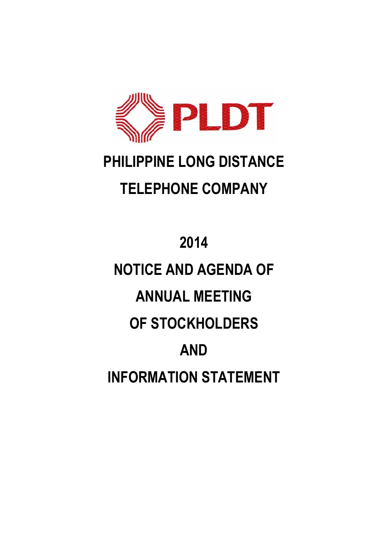

## **PHILIPPINE LONG DISTANCE TELEPHONE COMPANY**

# **2014 NOTICE AND AGENDA OF ANNUAL MEETING OF STOCKHOLDERS AND INFORMATION STATEMENT**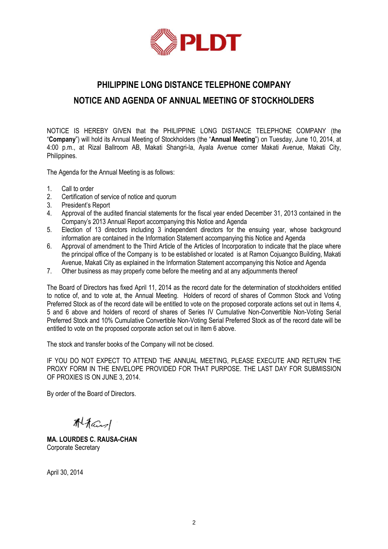

## **PHILIPPINE LONG DISTANCE TELEPHONE COMPANY NOTICE AND AGENDA OF ANNUAL MEETING OF STOCKHOLDERS**

NOTICE IS HEREBY GIVEN that the PHILIPPINE LONG DISTANCE TELEPHONE COMPANY (the "**Company**") will hold its Annual Meeting of Stockholders (the "**Annual Meeting**") on Tuesday, June 10, 2014, at 4:00 p.m., at Rizal Ballroom AB, Makati Shangri-la, Ayala Avenue corner Makati Avenue, Makati City, Philippines.

The Agenda for the Annual Meeting is as follows:

- 1. Call to order
- 2. Certification of service of notice and quorum
- 3. President's Report
- 4. Approval of the audited financial statements for the fiscal year ended December 31, 2013 contained in the Company's 2013 Annual Report accompanying this Notice and Agenda
- 5. Election of 13 directors including 3 independent directors for the ensuing year, whose background information are contained in the Information Statement accompanying this Notice and Agenda
- 6. Approval of amendment to the Third Article of the Articles of Incorporation to indicate that the place where the principal office of the Company is to be established or located is at Ramon Cojuangco Building, Makati Avenue, Makati City as explained in the Information Statement accompanying this Notice and Agenda
- 7. Other business as may properly come before the meeting and at any adjournments thereof

The Board of Directors has fixed April 11, 2014 as the record date for the determination of stockholders entitled to notice of, and to vote at, the Annual Meeting. Holders of record of shares of Common Stock and Voting Preferred Stock as of the record date will be entitled to vote on the proposed corporate actions set out in Items 4, 5 and 6 above and holders of record of shares of Series IV Cumulative Non-Convertible Non-Voting Serial Preferred Stock and 10% Cumulative Convertible Non-Voting Serial Preferred Stock as of the record date will be entitled to vote on the proposed corporate action set out in Item 6 above.

The stock and transfer books of the Company will not be closed.

IF YOU DO NOT EXPECT TO ATTEND THE ANNUAL MEETING, PLEASE EXECUTE AND RETURN THE PROXY FORM IN THE ENVELOPE PROVIDED FOR THAT PURPOSE. THE LAST DAY FOR SUBMISSION OF PROXIES IS ON JUNE 3, 2014.

By order of the Board of Directors.

Alfans

**MA. LOURDES C. RAUSA-CHAN** Corporate Secretary

April 30, 2014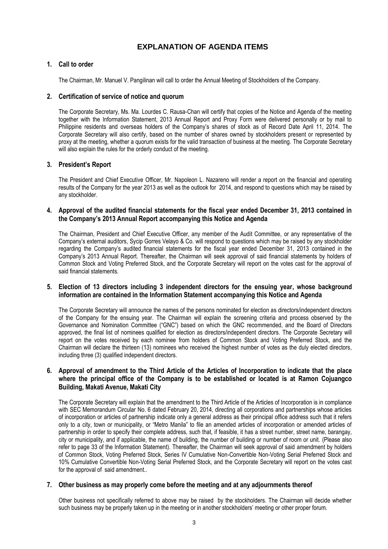## **EXPLANATION OF AGENDA ITEMS**

## **1. Call to order**

The Chairman, Mr. Manuel V. Pangilinan will call to order the Annual Meeting of Stockholders of the Company.

## **2. Certification of service of notice and quorum**

The Corporate Secretary, Ms. Ma. Lourdes C. Rausa-Chan will certify that copies of the Notice and Agenda of the meeting together with the Information Statement, 2013 Annual Report and Proxy Form were delivered personally or by mail to Philippine residents and overseas holders of the Company's shares of stock as of Record Date April 11, 2014. The Corporate Secretary will also certify, based on the number of shares owned by stockholders present or represented by proxy at the meeting, whether a quorum exists for the valid transaction of business at the meeting. The Corporate Secretary will also explain the rules for the orderly conduct of the meeting.

## **3. President's Report**

The President and Chief Executive Officer, Mr. Napoleon L. Nazareno will render a report on the financial and operating results of the Company for the year 2013 as well as the outlook for 2014, and respond to questions which may be raised by any stockholder.

## **4. Approval of the audited financial statements for the fiscal year ended December 31, 2013 contained in the Company's 2013 Annual Report accompanying this Notice and Agenda**

The Chairman, President and Chief Executive Officer, any member of the Audit Committee, or any representative of the Company's external auditors, Sycip Gorres Velayo & Co. will respond to questions which may be raised by any stockholder regarding the Company's audited financial statements for the fiscal year ended December 31, 2013 contained in the Company's 2013 Annual Report. Thereafter, the Chairman will seek approval of said financial statements by holders of Common Stock and Voting Preferred Stock, and the Corporate Secretary will report on the votes cast for the approval of said financial statements.

#### **5. Election of 13 directors including 3 independent directors for the ensuing year, whose background information are contained in the Information Statement accompanying this Notice and Agenda**

The Corporate Secretary will announce the names of the persons nominated for election as directors/independent directors of the Company for the ensuing year. The Chairman will explain the screening criteria and process observed by the Governance and Nomination Committee ("GNC") based on which the GNC recommended, and the Board of Directors approved, the final list of nominees qualified for election as directors/independent directors. The Corporate Secretary will report on the votes received by each nominee from holders of Common Stock and Voting Preferred Stock, and the Chairman will declare the thirteen (13) nominees who received the highest number of votes as the duly elected directors, including three (3) qualified independent directors.

## **6. Approval of amendment to the Third Article of the Articles of Incorporation to indicate that the place where the principal office of the Company is to be established or located is at Ramon Cojuangco Building, Makati Avenue, Makati City**

The Corporate Secretary will explain that the amendment to the Third Article of the Articles of Incorporation is in compliance with SEC Memorandum Circular No. 6 dated February 20, 2014, directing all corporations and partnerships whose articles of incorporation or articles of partnership indicate only a general address as their principal office address such that it refers only to a city, town or municipality, or "Metro Manila" to file an amended articles of incorporation or amended articles of partnership in order to specify their complete address, such that, if feasible, it has a street number, street name, barangay, city or municipality, and if applicable, the name of building, the number of building or number of room or unit. (Please also refer to page 33 of the Information Statement). Thereafter, the Chairman will seek approval of said amendment by holders of Common Stock, Voting Preferred Stock, Series IV Cumulative Non-Convertible Non-Voting Serial Preferred Stock and 10% Cumulative Convertible Non-Voting Serial Preferred Stock, and the Corporate Secretary will report on the votes cast for the approval of said amendment..

## **7. Other business as may properly come before the meeting and at any adjournments thereof**

Other business not specifically referred to above may be raised by the stockholders. The Chairman will decide whether such business may be properly taken up in the meeting or in another stockholders' meeting or other proper forum.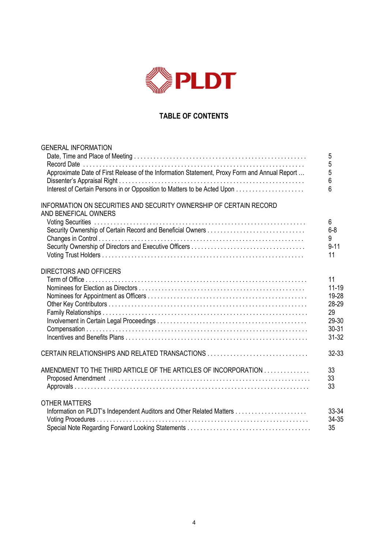

## **TABLE OF CONTENTS**

| <b>GENERAL INFORMATION</b>                                                                   |                     |
|----------------------------------------------------------------------------------------------|---------------------|
|                                                                                              | $\overline{5}$<br>5 |
| Approximate Date of First Release of the Information Statement, Proxy Form and Annual Report | 5                   |
|                                                                                              | 6                   |
|                                                                                              | 6                   |
| INFORMATION ON SECURITIES AND SECURITY OWNERSHIP OF CERTAIN RECORD<br>AND BENEFICAL OWNERS   |                     |
| Security Ownership of Certain Record and Beneficial Owners                                   | 6<br>$6 - 8$        |
|                                                                                              | 9                   |
|                                                                                              | $9 - 11$            |
|                                                                                              | 11                  |
| <b>DIRECTORS AND OFFICERS</b>                                                                |                     |
|                                                                                              | 11                  |
|                                                                                              | $11 - 19$           |
|                                                                                              | 19-28<br>28-29      |
|                                                                                              | 29                  |
|                                                                                              | 29-30               |
|                                                                                              | 30-31               |
|                                                                                              | $31 - 32$           |
| CERTAIN RELATIONSHIPS AND RELATED TRANSACTIONS                                               | 32-33               |
| AMENDMENT TO THE THIRD ARTICLE OF THE ARTICLES OF INCORPORATION                              | 33                  |
|                                                                                              | 33<br>33            |
|                                                                                              |                     |
| <b>OTHER MATTERS</b>                                                                         |                     |
|                                                                                              | 33-34<br>34-35      |
|                                                                                              | 35                  |
|                                                                                              |                     |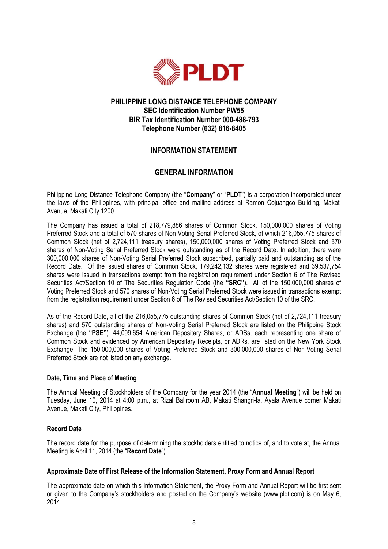

## **PHILIPPINE LONG DISTANCE TELEPHONE COMPANY SEC Identification Number PW55 BIR Tax Identification Number 000-488-793 Telephone Number (632) 816-8405**

## **INFORMATION STATEMENT**

## **GENERAL INFORMATION**

Philippine Long Distance Telephone Company (the "**Company**" or "**PLDT**") is a corporation incorporated under the laws of the Philippines, with principal office and mailing address at Ramon Cojuangco Building, Makati Avenue, Makati City 1200.

The Company has issued a total of 218,779,886 shares of Common Stock, 150,000,000 shares of Voting Preferred Stock and a total of 570 shares of Non-Voting Serial Preferred Stock, of which 216,055,775 shares of Common Stock (net of 2,724,111 treasury shares), 150,000,000 shares of Voting Preferred Stock and 570 shares of Non-Voting Serial Preferred Stock were outstanding as of the Record Date. In addition, there were 300,000,000 shares of Non-Voting Serial Preferred Stock subscribed, partially paid and outstanding as of the Record Date. Of the issued shares of Common Stock, 179,242,132 shares were registered and 39,537,754 shares were issued in transactions exempt from the registration requirement under Section 6 of The Revised Securities Act/Section 10 of The Securities Regulation Code (the **"SRC"**). All of the 150,000,000 shares of Voting Preferred Stock and 570 shares of Non-Voting Serial Preferred Stock were issued in transactions exempt from the registration requirement under Section 6 of The Revised Securities Act/Section 10 of the SRC.

As of the Record Date, all of the 216,055,775 outstanding shares of Common Stock (net of 2,724,111 treasury shares) and 570 outstanding shares of Non-Voting Serial Preferred Stock are listed on the Philippine Stock Exchange (the **"PSE"**). 44,099,654 American Depositary Shares, or ADSs, each representing one share of Common Stock and evidenced by American Depositary Receipts, or ADRs, are listed on the New York Stock Exchange. The 150,000,000 shares of Voting Preferred Stock and 300,000,000 shares of Non-Voting Serial Preferred Stock are not listed on any exchange.

## **Date, Time and Place of Meeting**

The Annual Meeting of Stockholders of the Company for the year 2014 (the "**Annual Meeting**") will be held on Tuesday, June 10, 2014 at 4:00 p.m., at Rizal Ballroom AB, Makati Shangri-la, Ayala Avenue corner Makati Avenue, Makati City, Philippines.

## **Record Date**

The record date for the purpose of determining the stockholders entitled to notice of, and to vote at, the Annual Meeting is April 11, 2014 (the "**Record Date**").

## **Approximate Date of First Release of the Information Statement, Proxy Form and Annual Report**

The approximate date on which this Information Statement, the Proxy Form and Annual Report will be first sent or given to the Company's stockholders and posted on the Company's website (www.pldt.com) is on May 6, 2014.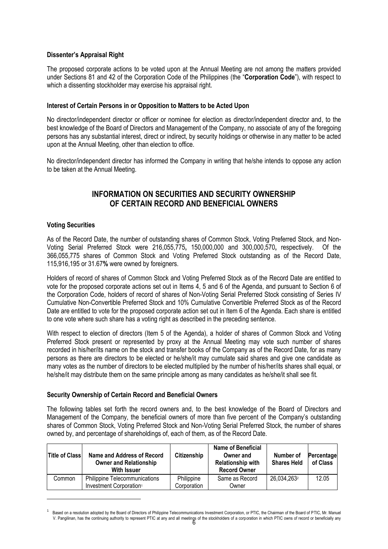## **Dissenter's Appraisal Right**

The proposed corporate actions to be voted upon at the Annual Meeting are not among the matters provided under Sections 81 and 42 of the Corporation Code of the Philippines (the "**Corporation Code**"), with respect to which a dissenting stockholder may exercise his appraisal right.

## **Interest of Certain Persons in or Opposition to Matters to be Acted Upon**

No director/independent director or officer or nominee for election as director/independent director and, to the best knowledge of the Board of Directors and Management of the Company, no associate of any of the foregoing persons has any substantial interest, direct or indirect, by security holdings or otherwise in any matter to be acted upon at the Annual Meeting, other than election to office.

No director/independent director has informed the Company in writing that he/she intends to oppose any action to be taken at the Annual Meeting.

## **INFORMATION ON SECURITIES AND SECURITY OWNERSHIP OF CERTAIN RECORD AND BENEFICIAL OWNERS**

## **Voting Securities**

1

As of the Record Date, the number of outstanding shares of Common Stock, Voting Preferred Stock, and Non-Voting Serial Preferred Stock were 216,055,775**,** 150,000,000 and 300,000,570**,** respectively. Of the 366,055,775 shares of Common Stock and Voting Preferred Stock outstanding as of the Record Date, 115,916,195 or 31.67**%** were owned by foreigners.

Holders of record of shares of Common Stock and Voting Preferred Stock as of the Record Date are entitled to vote for the proposed corporate actions set out in Items 4, 5 and 6 of the Agenda, and pursuant to Section 6 of the Corporation Code, holders of record of shares of Non-Voting Serial Preferred Stock consisting of Series IV Cumulative Non-Convertible Preferred Stock and 10% Cumulative Convertible Preferred Stock as of the Record Date are entitled to vote for the proposed corporate action set out in Item 6 of the Agenda. Each share is entitled to one vote where such share has a voting right as described in the preceding sentence.

With respect to election of directors (Item 5 of the Agenda), a holder of shares of Common Stock and Voting Preferred Stock present or represented by proxy at the Annual Meeting may vote such number of shares recorded in his/her/its name on the stock and transfer books of the Company as of the Record Date, for as many persons as there are directors to be elected or he/she/it may cumulate said shares and give one candidate as many votes as the number of directors to be elected multiplied by the number of his/her/its shares shall equal, or he/she/it may distribute them on the same principle among as many candidates as he/she/it shall see fit.

## **Security Ownership of Certain Record and Beneficial Owners**

The following tables set forth the record owners and, to the best knowledge of the Board of Directors and Management of the Company, the beneficial owners of more than five percent of the Company's outstanding shares of Common Stock, Voting Preferred Stock and Non-Voting Serial Preferred Stock, the number of shares owned by, and percentage of shareholdings of, each of them, as of the Record Date.

| <b>Title of Class</b> | Name and Address of Record<br><b>Owner and Relationship</b><br><b>With Issuer</b> | Citizenship               | <b>Name of Beneficial</b><br>Owner and<br><b>Relationship with</b><br><b>Record Owner</b> | Number of<br><b>Shares Held</b> | Percentage<br>of Class |
|-----------------------|-----------------------------------------------------------------------------------|---------------------------|-------------------------------------------------------------------------------------------|---------------------------------|------------------------|
| Common                | <b>Philippine Telecommunications</b><br>Investment Corporation <sup>1</sup>       | Philippine<br>Corporation | Same as Record<br>Owner                                                                   | 26,034,2632                     | 12.05                  |

V. Pangilinan, has the continuing authority to represent PTIC at any and all meetings of the stockholders of a corporation in which PTIC owns of record or beneficially any<br>
6 1 Based on a resolution adopted by the Board of Directors of Philippine Telecommunications Investment Corporation, or PTIC, the Chairman of the Board of PTIC, Mr. Manuel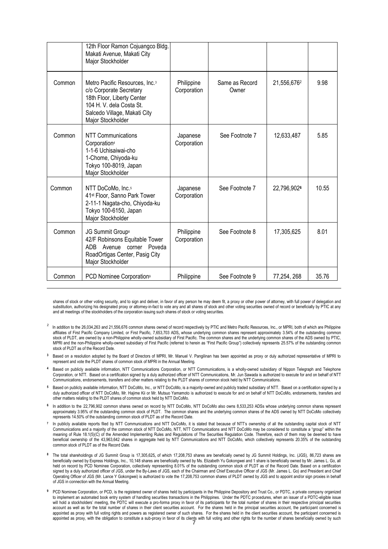|        | 12th Floor Ramon Cojuangco Bldg.<br>Makati Avenue, Makati City<br>Major Stockholder                                                                                                  |                           |                         |             |       |
|--------|--------------------------------------------------------------------------------------------------------------------------------------------------------------------------------------|---------------------------|-------------------------|-------------|-------|
| Common | Metro Pacific Resources, Inc. <sup>3</sup><br>c/o Corporate Secretary<br>18th Floor, Liberty Center<br>104 H. V. dela Costa St.<br>Salcedo Village, Makati City<br>Major Stockholder | Philippine<br>Corporation | Same as Record<br>Owner | 21,556,6762 | 9.98  |
| Common | NTT Communications<br>Corporation <sup>4</sup><br>1-1-6 Uchisaiwai-cho<br>1-Chome, Chiyoda-ku<br>Tokyo 100-8019, Japan<br>Major Stockholder                                          | Japanese<br>Corporation   | See Footnote 7          | 12,633,487  | 5.85  |
| Common | NTT DoCoMo, Inc.5<br>41 <sup>st</sup> Floor, Sanno Park Tower<br>2-11-1 Nagata-cho, Chiyoda-ku<br>Tokyo 100-6150, Japan<br>Major Stockholder                                         | Japanese<br>Corporation   | See Footnote 7          | 22,796,9026 | 10.55 |
| Common | JG Summit Group®<br>42/F Robinsons Equitable Tower<br>Avenue corner Poveda<br><b>ADB</b><br>RoadOrtigas Center, Pasig City<br>Major Stockholder                                      | Philippine<br>Corporation | See Footnote 8          | 17,305,625  | 8.01  |
| Common | PCD Nominee Corporation <sup>9</sup>                                                                                                                                                 | Philippine                | See Footnote 9          | 77,254, 268 | 35.76 |

shares of stock or other voting security, and to sign and deliver, in favor of any person he may deem fit, a proxy or other power of attorney, with full power of delegation and substitution, authorizing his designated proxy or attorney-in-fact to vote any and all shares of stock and other voting securities owned of record or beneficially by PTIC at any and all meetings of the stockholders of the corporation issuing such shares of stock or voting securities.

-

- $2$  In addition to the 26,034,263 and 21,556,676 common shares owned of record respectively by PTIC and Metro Pacific Resources, Inc., or MPRI, both of which are Philippine affiliates of First Pacific Company Limited, or First Pacific, 7,653,703 ADS**,** whose underlying common shares represent approximately 3.54% of the outstanding common stock of PLDT, are owned by a non-Philippine wholly-owned subsidiary of First Pacific. The common shares and the underlying common shares of the ADS owned by PTIC, MPRI and the non-Philippine wholly-owned subsidiary of First Pacific (referred to herein as "First Pacific Group") collectively represents 25.57% of the outstanding common stock of PLDT as of the Record Date.
- **<sup>3</sup>** Based on a resolution adopted by the Board of Directors of MPRI, Mr. Manuel V. Pangilinan has been appointed as proxy or duly authorized representative of MPRI to represent and vote the PLDT shares of common stock of MPRI in the Annual Meeting.
- **<sup>4</sup>** Based on publicly available information, NTT Communications Corporation, or NTT Communications, is a wholly-owned subsidiary of Nippon Telegraph and Telephone Corporation, or NTT. Based on a certification signed by a duly authorized officer of NTT Communications, Mr. Jun Sawada is authorized to execute for and on behalf of NTT Communications, endorsements, transfers and other matters relating to the PLDT shares of common stock held by NTT Communications.
- **<sup>5</sup>** Based on publicly available information, NTT DoCoMo, Inc., or NTT DoCoMo, is a majority-owned and publicly traded subsidiary of NTT. Based on a certification signed by a duly authorized officer of NTT DoCoMo, Mr. Hajime Kii or Mr. Mutsuo Yamamoto is authorized to execute for and on behalf of NTT DoCoMo, endorsements, transfers and other matters relating to the PLDT shares of common stock held by NTT DoCoMo.
- **6** In addition to the 22,796,902 common shares owned on record by NTT DoCoMo, NTT DoCoMo also owns 8,533,253 ADSs whose underlying common shares represent approximately 3.95% of the outstanding common stock of PLDT. The common shares and the underlying common shares of the ADS owned by NTT DoCoMo collectively represents 14.50% of the outstanding common stock of PLDT as of the Record Date.
- **7** In publicly available reports filed by NTT Communications and NTT DoCoMo, it is stated that because of NTT's ownership of all the outstanding capital stock of NTT Communications and a majority of the common stock of NTT DoCoMo, NTT, NTT Communications and NTT DoCoMo may be considered to constitute a "group" within the Communications and a majority of the Amended Implementing Rules and Regulations of The Securities Regulation Code. Therefore, each of them may be deemed to have meaning of Rule 18.1(5)(C) of the Amended Implementing Rules beneficial ownership of the 43,963,642 shares in aggregate held by NTT Communications and NTT DoCoMo, which collectively represents 20.35% of the outstanding common stock of PLDT as of the Record Date.
- **<sup>8</sup>** The total shareholdings of JG Summit Group is 17,305,625**,** of which 17,208,753 shares are beneficially owned by JG Summit Holdings, Inc. (JGS), 86,723 shares are beneficially owned by Express Holdings, Inc., 10,148 shares are beneficially owned by Ms. Elizabeth Yu Gokongwei and 1 share is beneficially owned by Mr. James L. Go, all held on record by PCD Nominee Corporation, collectively representing 8.01% of the outstanding common stock of PLDT as of the Record Date. Based on a certification signed by a duly authorized officer of JGS, under the By-Laws of JGS, each of the Chairman and Chief Executive Officer of JGS (Mr. James L. Go) and President and Chief Operating Officer of JGS (Mr. Lance Y Gokongwei) is authorized to vote the 17,208,753 common shares of PLDT owned by JGS and to appoint and/or sign proxies in behalf of JGS in connection with the Annual Meeting.
- appointed as proxy, with the obligation to constitute a sub-proxy in favor of its clients with full voting and other rights for the number of shares beneficially owned by such **<sup>9</sup>** PCD Nominee Corporation, or PCD, is the registered owner of shares held by participants in the Philippine Depository and Trust Co., or PDTC, a private company organized to implement an automated book entry system of handling securities transactions in the Philippines. Under the PDTC procedures, when an issuer of a PDTC-eligible issue will hold a stockholders' meeting, the PDTC will execute a pro-forma proxy in favor of its participants for the total number of shares in their respective principal securities account as well as for the total number of shares in their client securities account. For the shares held in the principal securities account, the participant concerned is appointed as proxy with full voting rights and powers as registered owner of such shares. For the shares held in the client securities account, the participant concerned is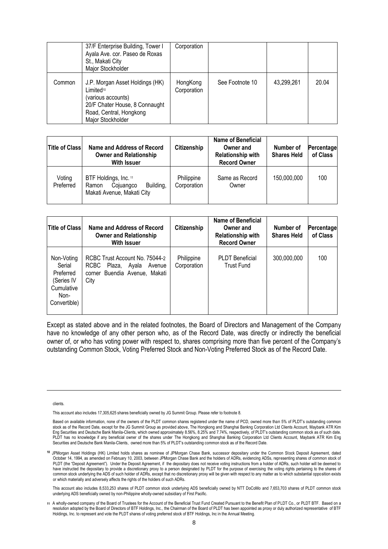|        | 37/F Enterprise Building, Tower I<br>Ayala Ave. cor. Paseo de Roxas<br>St., Makati City<br>Major Stockholder                                         | Corporation             |                 |            |       |
|--------|------------------------------------------------------------------------------------------------------------------------------------------------------|-------------------------|-----------------|------------|-------|
| Common | J.P. Morgan Asset Holdings (HK)<br>Limited10<br>(various accounts)<br>20/F Chater House, 8 Connaught<br>Road, Central, Hongkong<br>Major Stockholder | HongKong<br>Corporation | See Footnote 10 | 43,299,261 | 20.04 |

| <b>Title of Class</b> | Name and Address of Record<br><b>Owner and Relationship</b><br><b>With Issuer</b>      | Citizenship               | <b>Name of Beneficial</b><br>Owner and<br><b>Relationship with</b><br><b>Record Owner</b> | Number of<br><b>Shares Held</b> | Percentage<br>of Class |
|-----------------------|----------------------------------------------------------------------------------------|---------------------------|-------------------------------------------------------------------------------------------|---------------------------------|------------------------|
| Voting<br>Preferred   | BTF Holdings, Inc. 11<br>Building,<br>Cojuangco<br>Ramon<br>Makati Avenue, Makati City | Philippine<br>Corporation | Same as Record<br>Owner                                                                   | 150,000,000                     | 100                    |

| <b>Title of Class</b>                                                                 | Name and Address of Record<br><b>Owner and Relationship</b><br><b>With Issuer</b>                                   | Citizenship               | <b>Name of Beneficial</b><br>Owner and<br><b>Relationship with</b><br><b>Record Owner</b> | Number of<br><b>Shares Held</b> | Percentage<br>of Class |
|---------------------------------------------------------------------------------------|---------------------------------------------------------------------------------------------------------------------|---------------------------|-------------------------------------------------------------------------------------------|---------------------------------|------------------------|
| Non-Voting<br>Serial<br>Preferred<br>(Series IV<br>Cumulative<br>Non-<br>Convertible) | RCBC Trust Account No. 75044-2<br><b>RCBC</b><br>Plaza, Ayala<br>Avenue<br>Buendia Avenue, Makati<br>corner<br>City | Philippine<br>Corporation | <b>PLDT</b> Beneficial<br><b>Trust Fund</b>                                               | 300,000,000                     | 100                    |

Except as stated above and in the related footnotes, the Board of Directors and Management of the Company have no knowledge of any other person who, as of the Record Date, was directly or indirectly the beneficial owner of, or who has voting power with respect to, shares comprising more than five percent of the Company's outstanding Common Stock, Voting Preferred Stock and Non-Voting Preferred Stock as of the Record Date.

clients.

1

This account also includes 17,305,625 shares beneficially owned by JG Summit Group. Please refer to footnote 8.

This account also includes 8,533,253 shares of PLDT common stock underlying ADS beneficially owned by NTT DoCoMo and 7,653,703 shares of PLDT common stock underlying ADS beneficially owned by non-Philippine wholly-owned subsidiary of First Pacific.

Based on available information, none of the owners of the PLDT common shares registered under the name of PCD, owned more than 5% of PLDT's outstanding common stock as of the Record Date, except for the JG Summit Group as provided above, The Hongkong and Shanghai Bankng Corporation Ltd Clients Account, Maybank ATR Kim Eng Securities and Deutsche Bank Manila-Clients, which owned approximately 8.56%, 8.25% and 7.74%, respectively, of PLDT's outstanding common stock as of such date. PLDT has no knowledge if any beneficial owner of the shares under The Hongkong and Shanghai Banking Corporation Ltd Clients Account, Maybank ATR Kim Eng Securities and Deutsche Bank Manila-Clients, owned more than 5% of PLDT's outstanding common stock as of the Record Date.

**<sup>10</sup>** JPMorgan Asset Holdings (HK) Limited holds shares as nominee of JPMorgan Chase Bank, successor depositary under the Common Stock Deposit Agreement, dated October 14, 1994, as amended on February 10, 2003, between JPMorgan Chase Bank and the holders of ADRs, evidencing ADSs, representing shares of common stock of PLDT (the "Deposit Agreement"). Under the Deposit Agreement, if the depositary does not receive voting instructions from a holder of ADRs, such holder will be deemed to have instructed the depositary to provide a discretionary proxy to a person designated by PLDT for the purpose of exercising the voting rights pertaining to the shares of the shares of the shares of the shares of the share common stock underlying the ADS of such holder of ADRs, except that no discretionary proxy will be given with respect to any matter as to which substantial opposition exists or which materially and adversely affects the rights of the holders of such ADRs.

**<sup>11</sup>** A wholly-owned company of the Board of Trustees for the Account of the Beneficial Trust Fund Created Pursuant to the Benefit Plan of PLDT Co., or PLDT BTF. Based on a resolution adopted by the Board of Directors of BTF Holdings, Inc., the Chairman of the Board of PLDT has been appointed as proxy or duly authorized representative of BTF Holdings, Inc. to represent and vote the PLDT shares of voting preferred stock of BTF Holdings, Inc in the Annual Meeting.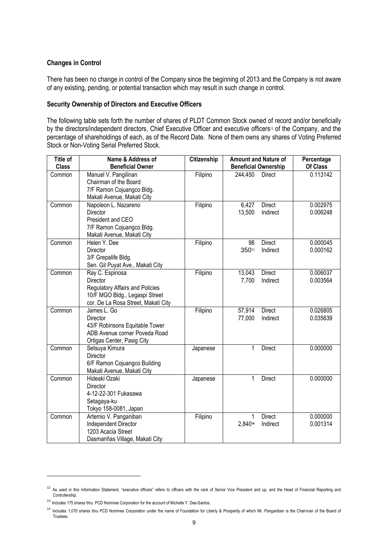## **Changes in Control**

There has been no change in control of the Company since the beginning of 2013 and the Company is not aware of any existing, pending, or potential transaction which may result in such change in control.

## **Security Ownership of Directors and Executive Officers**

The following table sets forth the number of shares of PLDT Common Stock owned of record and/or beneficially by the directors/independent directors, Chief Executive Officer and executive officers<sup>12</sup> of the Company, and the percentage of shareholdings of each, as of the Record Date. None of them owns any shares of Voting Preferred Stock or Non-Voting Serial Preferred Stock.

| <b>Title of</b> | Name & Address of                                                        | Citizenship |                  | <b>Amount and Nature of</b> | Percentage           |
|-----------------|--------------------------------------------------------------------------|-------------|------------------|-----------------------------|----------------------|
| <b>Class</b>    | <b>Beneficial Owner</b>                                                  |             |                  | <b>Beneficial Ownership</b> | Of Class             |
| Common          | Manuel V. Pangilinan<br>Chairman of the Board                            | Filipino    | 244,450          | <b>Direct</b>               | 0.113142             |
|                 |                                                                          |             |                  |                             |                      |
|                 | 7/F Ramon Cojuangco Bldg.                                                |             |                  |                             |                      |
|                 | Makati Avenue, Makati City                                               |             |                  |                             |                      |
| Common          | Napoleon L. Nazareno                                                     | Filipino    | 6,427            | Direct                      | 0.002975             |
|                 | <b>Director</b>                                                          |             | 13,500           | Indirect                    | 0.006248             |
|                 | President and CEO                                                        |             |                  |                             |                      |
|                 | 7/F Ramon Cojuangco Bldg.                                                |             |                  |                             |                      |
|                 | Makati Avenue, Makati City                                               |             |                  |                             |                      |
| Common          | Helen Y. Dee                                                             | Filipino    | 98               | <b>Direct</b>               | 0.000045<br>0.000162 |
|                 | Director                                                                 |             | 35013            | Indirect                    |                      |
|                 | 3/F Grepalife Bldg.                                                      |             |                  |                             |                      |
|                 | Sen. Gil Puyat Ave., Makati City                                         |             |                  | <b>Direct</b>               | 0.006037             |
| Common          | Ray C. Espinosa<br><b>Director</b>                                       | Filipino    | 13,043           |                             | 0.003564             |
|                 |                                                                          |             | 7,700            | Indirect                    |                      |
|                 | <b>Regulatory Affairs and Policies</b><br>10/F MGO Bldg., Legaspi Street |             |                  |                             |                      |
|                 |                                                                          |             |                  |                             |                      |
|                 | cor. De La Rosa Street, Makati City<br>James L. Go                       |             |                  | <b>Direct</b>               | 0.026805             |
| Common          | Director                                                                 | Filipino    | 57,914<br>77,000 | Indirect                    | 0.035639             |
|                 | 43/F Robinsons Equitable Tower                                           |             |                  |                             |                      |
|                 | ADB Avenue corner Poveda Road                                            |             |                  |                             |                      |
|                 |                                                                          |             |                  |                             |                      |
| Common          | Ortigas Center, Pasig City<br>Setsuya Kimura                             |             | 1                | <b>Direct</b>               | 0.000000             |
|                 | <b>Director</b>                                                          | Japanese    |                  |                             |                      |
|                 | 6/F Ramon Cojuangco Building                                             |             |                  |                             |                      |
|                 | Makati Avenue, Makati City                                               |             |                  |                             |                      |
| Common          | Hideaki Ozaki                                                            | Japanese    | 1                | <b>Direct</b>               | 0.000000             |
|                 | Director                                                                 |             |                  |                             |                      |
|                 | 4-12-22-301 Fukasawa                                                     |             |                  |                             |                      |
|                 | Setagaya-ku                                                              |             |                  |                             |                      |
|                 | Tokyo 158-0081, Japan                                                    |             |                  |                             |                      |
| Common          | Artemio V. Panganiban                                                    | Filipino    | 1                | <b>Direct</b>               | 0.000000             |
|                 | Independent Director                                                     |             | 2,84014          | Indirect                    | 0.001314             |
|                 | 1203 Acacia Street                                                       |             |                  |                             |                      |
|                 | Dasmariñas Village, Makati City                                          |             |                  |                             |                      |

-

<sup>&</sup>lt;sup>12</sup> As used in this Information Statement, "executive officers" refers to officers with the rank of Senior Vice President and up, and the Head of Financial Reporting and Controllership.

<sup>&</sup>lt;sup>13</sup> Includes 175 shares thru PCD Nominee Corporation for the account of Michelle Y. Dee-Santos.

<sup>&</sup>lt;sup>14</sup> Includes 1,070 shares thru PCD Nominee Corporation under the name of Foundation for Liberty & Prosperity of which Mr. Panganiban is the Chairman of the Board of Trustees.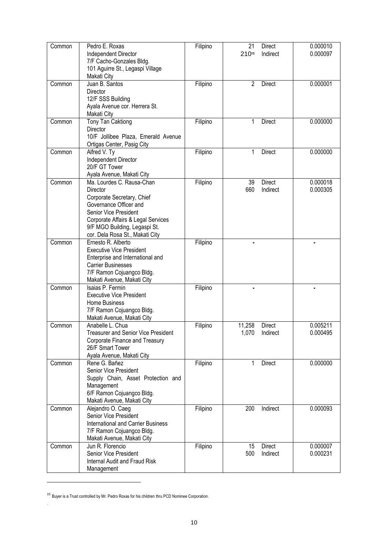| Common | Pedro E. Roxas<br>Independent Director<br>7/F Cacho-Gonzales Bldg.<br>101 Aguirre St., Legaspi Village                                                                                                                           | Filipino | 21<br>21015    | Direct<br>Indirect              | 0.000010<br>0.000097 |
|--------|----------------------------------------------------------------------------------------------------------------------------------------------------------------------------------------------------------------------------------|----------|----------------|---------------------------------|----------------------|
| Common | Makati City<br>Juan B. Santos<br>Director<br>12/F SSS Building<br>Ayala Avenue cor. Herrera St.<br>Makati City                                                                                                                   | Filipino | $\overline{2}$ | <b>Direct</b>                   | 0.000001             |
| Common | <b>Tony Tan Caktiong</b><br>Director<br>10/F Jollibee Plaza, Emerald Avenue<br>Ortigas Center, Pasig City                                                                                                                        | Filipino | $\mathbf{1}$   | Direct                          | 0.000000             |
| Common | Alfred V. Ty<br>Independent Director<br>20/F GT Tower<br>Ayala Avenue, Makati City                                                                                                                                               | Filipino | $\mathbf{1}$   | Direct                          | 0.000000             |
| Common | Ma. Lourdes C. Rausa-Chan<br>Director<br>Corporate Secretary, Chief<br>Governance Officer and<br>Senior Vice President<br>Corporate Affairs & Legal Services<br>9/F MGO Building, Legaspi St.<br>cor. Dela Rosa St., Makati City | Filipino | 39<br>660      | <b>Direct</b><br>Indirect       | 0.000018<br>0.000305 |
| Common | Ernesto R. Alberto<br><b>Executive Vice President</b><br>Enterprise and International and<br><b>Carrier Businesses</b><br>7/F Ramon Cojuangco Bldg.<br>Makati Avenue, Makati City                                                | Filipino |                |                                 |                      |
| Common | Isaias P. Fermin<br><b>Executive Vice President</b><br>Home Business<br>7/F Ramon Cojuangco Bldg.<br>Makati Avenue, Makati City                                                                                                  | Filipino |                |                                 |                      |
| Common | Anabelle L. Chua<br>Treasurer and Senior Vice President<br>Corporate Finance and Treasury<br>26/F Smart Tower<br>Ayala Avenue, Makati City                                                                                       | Filipino | 11,258         | <b>Direct</b><br>1,070 Indirect | 0.005211<br>0.000495 |
| Common | Rene G. Bañez<br>Senior Vice President<br>Supply Chain, Asset Protection and<br>Management<br>6/F Ramon Cojuangco Bldg.<br>Makati Avenue, Makati City                                                                            | Filipino | $\mathbf{1}$   | Direct                          | 0.000000             |
| Common | Alejandro O. Caeg<br>Senior Vice President<br><b>International and Carrier Business</b><br>7/F Ramon Cojuangco Bldg.<br>Makati Avenue, Makati City                                                                               | Filipino | 200            | Indirect                        | 0.000093             |
| Common | Jun R. Florencio<br>Senior Vice President<br>Internal Audit and Fraud Risk<br>Management                                                                                                                                         | Filipino | 15<br>500      | <b>Direct</b><br>Indirect       | 0.000007<br>0.000231 |

<sup>15</sup> Buyer is a Trust controlled by Mr. Pedro Roxas for his children thru PCD Nominee Corporation.

1

.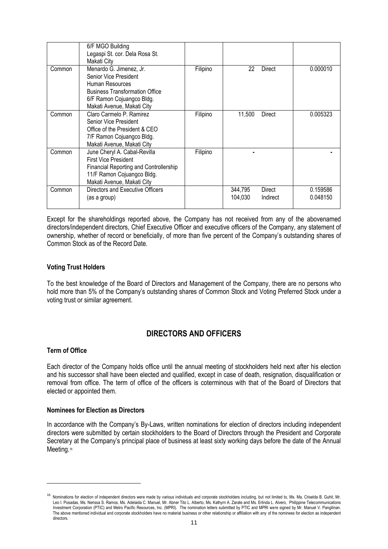|        | 6/F MGO Building<br>Legaspi St. cor. Dela Rosa St.<br>Makati City                                                                                                        |          |                    |                    |                      |
|--------|--------------------------------------------------------------------------------------------------------------------------------------------------------------------------|----------|--------------------|--------------------|----------------------|
| Common | Menardo G. Jimenez, Jr.<br>Senior Vice President<br>Human Resources<br><b>Business Transformation Office</b><br>6/F Ramon Cojuangco Bldg.<br>Makati Avenue, Makati City  | Filipino | 22                 | <b>Direct</b>      | 0.000010             |
| Common | Claro Carmelo P. Ramirez<br>Senior Vice President<br>Office of the President & CEO<br>7/F Ramon Cojuangco Bldg.<br>Makati Avenue, Makati City                            | Filipino | 11,500             | <b>Direct</b>      | 0.005323             |
| Common | June Cheryl A. Cabal-Revilla<br><b>First Vice President</b><br><b>Financial Reporting and Controllership</b><br>11/F Ramon Cojuangco Bldg.<br>Makati Avenue, Makati City | Filipino |                    |                    |                      |
| Common | Directors and Executive Officers<br>(as a group)                                                                                                                         |          | 344,795<br>104.030 | Direct<br>Indirect | 0.159586<br>0.048150 |

Except for the shareholdings reported above, the Company has not received from any of the abovenamed directors/independent directors, Chief Executive Officer and executive officers of the Company, any statement of ownership, whether of record or beneficially, of more than five percent of the Company's outstanding shares of Common Stock as of the Record Date.

## **Voting Trust Holders**

To the best knowledge of the Board of Directors and Management of the Company, there are no persons who hold more than 5% of the Company's outstanding shares of Common Stock and Voting Preferred Stock under a voting trust or similar agreement.

## **DIRECTORS AND OFFICERS**

## **Term of Office**

-

Each director of the Company holds office until the annual meeting of stockholders held next after his election and his successor shall have been elected and qualified, except in case of death, resignation, disqualification or removal from office. The term of office of the officers is coterminous with that of the Board of Directors that elected or appointed them.

## **Nominees for Election as Directors**

In accordance with the Company's By-Laws, written nominations for election of directors including independent directors were submitted by certain stockholders to the Board of Directors through the President and Corporate Secretary at the Company's principal place of business at least sixty working days before the date of the Annual Meeting.<sup>16</sup>

<sup>&</sup>lt;sup>16</sup> Nominations for election of independent directors were made by various individuals and corporate stockholders including, but not limited to, Ms. Ma. Criselda B. Guhit, Mr. Leo I. Posadas, Ms. Nerissa S. Ramos, Ms. Adelaida C. Manuel, Mr. Abner Tito L. Alberto, Ms. Kathyrn A. Zarate and Ms. Erlinda L. Alvero, Philippine Telecommunications Investment Corporation (PTIC) and Metro Pacific Resources, Inc. (MPRI). The nomination letters submitted by PTIC and MPRI were signed by Mr. Manuel V. Pangilinan. The above mentioned individual and corporate stockholders have no material business or other relationship or affiliation with any of the nominees for election as independent directors.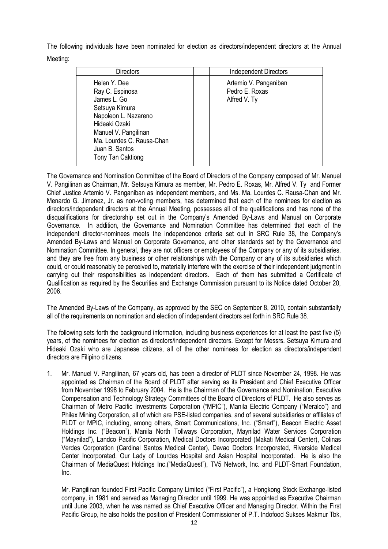The following individuals have been nominated for election as directors/independent directors at the Annual Meeting:

| <b>Directors</b>                                                                                                                                                                                      | <b>Independent Directors</b>                            |
|-------------------------------------------------------------------------------------------------------------------------------------------------------------------------------------------------------|---------------------------------------------------------|
| Helen Y. Dee<br>Ray C. Espinosa<br>James L. Go<br>Setsuya Kimura<br>Napoleon L. Nazareno<br>Hideaki Ozaki<br>Manuel V. Pangilinan<br>Ma. Lourdes C. Rausa-Chan<br>Juan B. Santos<br>Tony Tan Caktiong | Artemio V. Panganiban<br>Pedro E. Roxas<br>Alfred V. Ty |

The Governance and Nomination Committee of the Board of Directors of the Company composed of Mr. Manuel V. Pangilinan as Chairman, Mr. Setsuya Kimura as member, Mr. Pedro E. Roxas, Mr. Alfred V. Ty and Former Chief Justice Artemio V. Panganiban as independent members, and Ms. Ma. Lourdes C. Rausa-Chan and Mr. Menardo G. Jimenez, Jr. as non-voting members, has determined that each of the nominees for election as directors/independent directors at the Annual Meeting, possesses all of the qualifications and has none of the disqualifications for directorship set out in the Company's Amended By-Laws and Manual on Corporate Governance. In addition, the Governance and Nomination Committee has determined that each of the independent director-nominees meets the independence criteria set out in SRC Rule 38, the Company's Amended By-Laws and Manual on Corporate Governance, and other standards set by the Governance and Nomination Committee. In general, they are not officers or employees of the Company or any of its subsidiaries, and they are free from any business or other relationships with the Company or any of its subsidiaries which could, or could reasonably be perceived to, materially interfere with the exercise of their independent judgment in carrying out their responsibilities as independent directors. Each of them has submitted a Certificate of Qualification as required by the Securities and Exchange Commission pursuant to its Notice dated October 20, 2006.

The Amended By-Laws of the Company, as approved by the SEC on September 8, 2010, contain substantially all of the requirements on nomination and election of independent directors set forth in SRC Rule 38.

The following sets forth the background information, including business experiences for at least the past five (5) years, of the nominees for election as directors/independent directors. Except for Messrs. Setsuya Kimura and Hideaki Ozaki who are Japanese citizens, all of the other nominees for election as directors/independent directors are Filipino citizens.

1. Mr. Manuel V. Pangilinan, 67 years old, has been a director of PLDT since November 24, 1998. He was appointed as Chairman of the Board of PLDT after serving as its President and Chief Executive Officer from November 1998 to February 2004. He is the Chairman of the Governance and Nomination, Executive Compensation and Technology Strategy Committees of the Board of Directors of PLDT. He also serves as Chairman of Metro Pacific Investments Corporation ("MPIC"), Manila Electric Company ("Meralco") and Philex Mining Corporation, all of which are PSE-listed companies, and of several subsidiaries or affiliates of PLDT or MPIC, including, among others, Smart Communications, Inc. ("Smart"), Beacon Electric Asset Holdings Inc. ("Beacon"), Manila North Tollways Corporation, Maynilad Water Services Corporation ("Maynilad"), Landco Pacific Corporation, Medical Doctors Incorporated (Makati Medical Center), Colinas Verdes Corporation (Cardinal Santos Medical Center), Davao Doctors Incorporated, Riverside Medical Center Incorporated, Our Lady of Lourdes Hospital and Asian Hospital Incorporated. He is also the Chairman of MediaQuest Holdings Inc.("MediaQuest"), TV5 Network, Inc. and PLDT-Smart Foundation, Inc.

Mr. Pangilinan founded First Pacific Company Limited ("First Pacific"), a Hongkong Stock Exchange-listed company, in 1981 and served as Managing Director until 1999. He was appointed as Executive Chairman until June 2003, when he was named as Chief Executive Officer and Managing Director. Within the First Pacific Group, he also holds the position of President Commissioner of P.T. Indofood Sukses Makmur Tbk,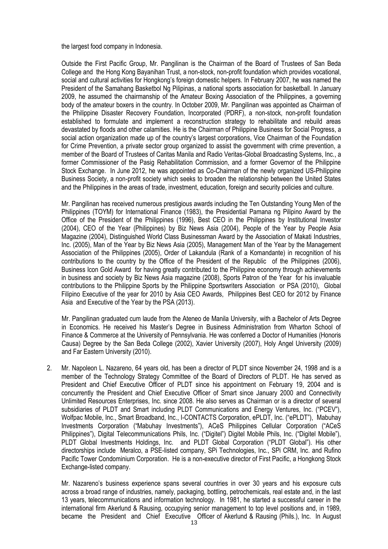the largest food company in Indonesia.

Outside the First Pacific Group, Mr. Pangilinan is the Chairman of the Board of Trustees of San Beda College and the Hong Kong Bayanihan Trust, a non-stock, non-profit foundation which provides vocational, social and cultural activities for Hongkong's foreign domestic helpers. In February 2007, he was named the President of the Samahang Basketbol Ng Pilipinas, a national sports association for basketball. In January 2009, he assumed the chairmanship of the Amateur Boxing Association of the Philippines, a governing body of the amateur boxers in the country. In October 2009, Mr. Pangilinan was appointed as Chairman of the Philippine Disaster Recovery Foundation, Incorporated (PDRF), a non-stock, non-profit foundation established to formulate and implement a reconstruction strategy to rehabilitate and rebuild areas devastated by floods and other calamities. He is the Chairman of Philippine Business for Social Progress, a social action organization made up of the country's largest corporations, Vice Chairman of the Foundation for Crime Prevention, a private sector group organized to assist the government with crime prevention, a member of the Board of Trustees of Caritas Manila and Radio Veritas-Global Broadcasting Systems, Inc., a former Commissioner of the Pasig Rehabilitation Commission, and a former Governor of the Philippine Stock Exchange. In June 2012, he was appointed as Co-Chairman of the newly organized US-Philippine Business Society, a non-profit society which seeks to broaden the relationship between the United States and the Philippines in the areas of trade, investment, education, foreign and security policies and culture.

Mr. Pangilinan has received numerous prestigious awards including the Ten Outstanding Young Men of the Philippines (TOYM) for International Finance (1983), the Presidential Pamana ng Pilipino Award by the Office of the President of the Philippines (1996), Best CEO in the Philippines by Institutional Investor (2004), CEO of the Year (Philippines) by Biz News Asia (2004), People of the Year by People Asia Magazine (2004), Distinguished World Class Businessman Award by the Association of Makati Industries, Inc. (2005), Man of the Year by Biz News Asia (2005), Management Man of the Year by the Management Association of the Philippines (2005), Order of Lakandula (Rank of a Komandante) in recognition of his contributions to the country by the Office of the President of the Republic of the Philippines (2006), Business Icon Gold Award for having greatly contributed to the Philippine economy through achievements in business and society by Biz News Asia magazine (2008), Sports Patron of the Year for his invaluable contributions to the Philippine Sports by the Philippine Sportswriters Association or PSA (2010), Global Filipino Executive of the year for 2010 by Asia CEO Awards, Philippines Best CEO for 2012 by Finance Asia and Executive of the Year by the PSA (2013).

 Mr. Pangilinan graduated cum laude from the Ateneo de Manila University, with a Bachelor of Arts Degree in Economics. He received his Master's Degree in Business Administration from Wharton School of Finance & Commerce at the University of Pennsylvania. He was conferred a Doctor of Humanities (Honoris Causa) Degree by the San Beda College (2002), Xavier University (2007), Holy Angel University (2009) and Far Eastern University (2010).

2. Mr. Napoleon L. Nazareno, 64 years old, has been a director of PLDT since November 24, 1998 and is a member of the Technology Strategy Committee of the Board of Directors of PLDT. He has served as President and Chief Executive Officer of PLDT since his appointment on February 19, 2004 and is concurrently the President and Chief Executive Officer of Smart since January 2000 and Connectivity Unlimited Resources Enterprises, Inc. since 2008. He also serves as Chairman or is a director of several subsidiaries of PLDT and Smart including PLDT Communications and Energy Ventures, Inc. ("PCEV"), Wolfpac Mobile, Inc., Smart Broadband, Inc., I-CONTACTS Corporation, ePLDT, Inc. ("ePLDT"), Mabuhay Investments Corporation ("Mabuhay Investments"), ACeS Philippines Cellular Corporation ("ACeS Philippines"), Digital Telecommunications Phils, Inc. ("Digitel") Digitel Mobile Phils, Inc. ("Digitel Mobile"), PLDT Global Investments Holdings, Inc. and PLDT Global Corporation ("PLDT Global"). His other directorships include Meralco, a PSE-listed company, SPi Technologies, Inc., SPi CRM, Inc. and Rufino Pacific Tower Condominium Corporation. He is a non-executive director of First Pacific, a Hongkong Stock Exchange-listed company.

Mr. Nazareno's business experience spans several countries in over 30 years and his exposure cuts across a broad range of industries, namely, packaging, bottling, petrochemicals, real estate and, in the last 13 years, telecommunications and information technology. In 1981, he started a successful career in the international firm Akerlund & Rausing, occupying senior management to top level positions and, in 1989, became the President and Chief Executive Officer of Akerlund & Rausing (Phils.), Inc. In August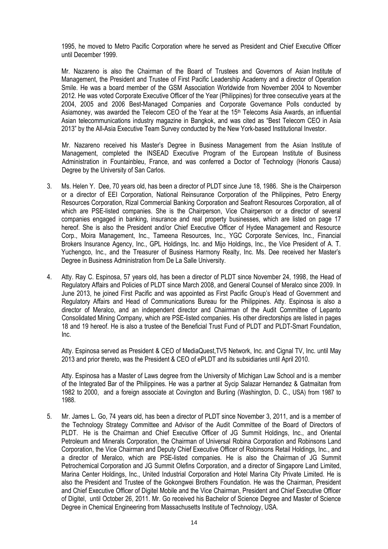1995, he moved to Metro Pacific Corporation where he served as President and Chief Executive Officer until December 1999.

Mr. Nazareno is also the Chairman of the Board of Trustees and Governors of Asian Institute of Management, the President and Trustee of First Pacific Leadership Academy and a director of Operation Smile. He was a board member of the GSM Association Worldwide from November 2004 to November 2012. He was voted Corporate Executive Officer of the Year (Philippines) for three consecutive years at the 2004, 2005 and 2006 Best-Managed Companies and Corporate Governance Polls conducted by Asiamoney, was awarded the Telecom CEO of the Year at the 15<sup>th</sup> Telecoms Asia Awards, an influential Asian telecommunications industry magazine in Bangkok, and was cited as "Best Telecom CEO in Asia 2013" by the All-Asia Executive Team Survey conducted by the New York-based Institutional Investor.

Mr. Nazareno received his Master's Degree in Business Management from the Asian Institute of Management, completed the INSEAD Executive Program of the European Institute of Business Administration in Fountainbleu, France, and was conferred a Doctor of Technology (Honoris Causa) Degree by the University of San Carlos.

- 3. Ms. Helen Y. Dee, 70 years old, has been a director of PLDT since June 18, 1986. She is the Chairperson or a director of EEI Corporation, National Reinsurance Corporation of the Philippines, Petro Energy Resources Corporation, Rizal Commercial Banking Corporation and Seafront Resources Corporation, all of which are PSE-listed companies. She is the Chairperson, Vice Chairperson or a director of several companies engaged in banking, insurance and real property businesses, which are listed on page 17 hereof. She is also the President and/or Chief Executive Officer of Hydee Management and Resource Corp., Moira Management, Inc., Tameena Resources, Inc., YGC Corporate Services, Inc., Financial Brokers Insurance Agency, Inc., GPL Holdings, Inc. and Mijo Holdings, Inc., the Vice President of A. T. Yuchengco, Inc., and the Treasurer of Business Harmony Realty, Inc. Ms. Dee received her Master's Degree in Business Administration from De La Salle University.
- 4. Atty. Ray C. Espinosa, 57 years old, has been a director of PLDT since November 24, 1998, the Head of Regulatory Affairs and Policies of PLDT since March 2008, and General Counsel of Meralco since 2009. In June 2013, he joined First Pacific and was appointed as First Pacific Group's Head of Government and Regulatory Affairs and Head of Communications Bureau for the Philippines. Atty. Espinosa is also a director of Meralco, and an independent director and Chairman of the Audit Committee of Lepanto Consolidated Mining Company, which are PSE-listed companies. His other directorships are listed in pages 18 and 19 hereof. He is also a trustee of the Beneficial Trust Fund of PLDT and PLDT-Smart Foundation, Inc.

Atty. Espinosa served as President & CEO of MediaQuest,TV5 Network, Inc. and Cignal TV, Inc. until May 2013 and prior thereto, was the President & CEO of ePLDT and its subsidiaries until April 2010.

Atty. Espinosa has a Master of Laws degree from the University of Michigan Law School and is a member of the Integrated Bar of the Philippines. He was a partner at Sycip Salazar Hernandez & Gatmaitan from 1982 to 2000, and a foreign associate at Covington and Burling (Washington, D. C., USA) from 1987 to 1988.

5. Mr. James L. Go, 74 years old, has been a director of PLDT since November 3, 2011, and is a member of the Technology Strategy Committee and Advisor of the Audit Committee of the Board of Directors of PLDT. He is the Chairman and Chief Executive Officer of JG Summit Holdings, Inc., and Oriental Petroleum and Minerals Corporation, the Chairman of Universal Robina Corporation and Robinsons Land Corporation, the Vice Chairman and Deputy Chief Executive Officer of Robinsons Retail Holdings, Inc., and a director of Meralco, which are PSE-listed companies. He is also the Chairman of JG Summit Petrochemical Corporation and JG Summit Olefins Corporation, and a director of Singapore Land Limited, Marina Center Holdings, Inc., United Industrial Corporation and Hotel Marina City Private Limited. He is also the President and Trustee of the Gokongwei Brothers Foundation. He was the Chairman, President and Chief Executive Officer of Digitel Mobile and the Vice Chairman, President and Chief Executive Officer of Digitel, until October 26, 2011. Mr. Go received his Bachelor of Science Degree and Master of Science Degree in Chemical Engineering from Massachusetts Institute of Technology, USA.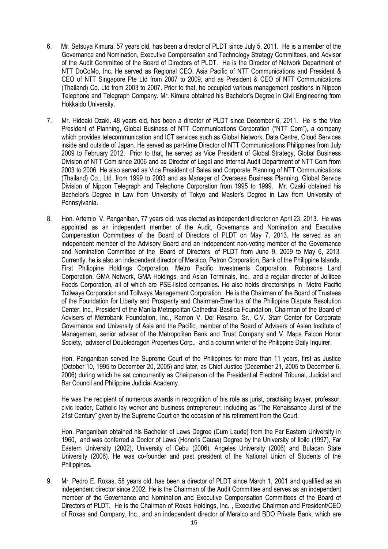- 6. Mr. Setsuya Kimura, 57 years old, has been a director of PLDT since July 5, 2011. He is a member of the Governance and Nomination, Executive Compensation and Technology Strategy Committees, and Advisor of the Audit Committee of the Board of Directors of PLDT. He is the Director of Network Department of NTT DoCoMo, Inc. He served as Regional CEO, Asia Pacific of NTT Communications and President & CEO of NTT Singapore Pte Ltd from 2007 to 2009, and as President & CEO of NTT Communications (Thailand) Co. Ltd from 2003 to 2007. Prior to that, he occupied various management positions in Nippon Telephone and Telegraph Company. Mr. Kimura obtained his Bachelor's Degree in Civil Engineering from Hokkaido University.
- 7. Mr. Hideaki Ozaki, 48 years old, has been a director of PLDT since December 6, 2011. He is the Vice President of Planning, Global Business of NTT Communications Corporation ("NTT Com"), a company which provides telecommunication and ICT services such as Global Network, Data Centre, Cloud Services inside and outside of Japan. He served as part-time Director of NTT Communications Philippines from July 2009 to February 2012. Prior to that, he served as Vice President of Global Strategy, Global Business Division of NTT Com since 2006 and as Director of Legal and Internal Audit Department of NTT Com from 2003 to 2006. He also served as Vice President of Sales and Corporate Planning of NTT Communications (Thailand) Co., Ltd. from 1999 to 2003 and as Manager of Overseas Business Planning, Global Service Division of Nippon Telegraph and Telephone Corporation from 1995 to 1999. Mr. Ozaki obtained his Bachelor's Degree in Law from University of Tokyo and Master's Degree in Law from University of Pennsylvania.
- 8. Hon. Artemio V. Panganiban, 77 years old, was elected as independent director on April 23, 2013. He was appointed as an independent member of the Audit, Governance and Nomination and Executive Compensation Committees of the Board of Directors of PLDT on May 7, 2013. He served as an independent member of the Advisory Board and an independent non-voting member of the Governance and Nomination Committee of the Board of Directors of PLDT from June 9, 2009 to May 6, 2013. Currently, he is also an independent director of Meralco, Petron Corporation, Bank of the Philippine Islands, First Philippine Holdings Corporation, Metro Pacific Investments Corporation, Robinsons Land Corporation, GMA Network, GMA Holdings, and Asian Terminals, Inc., and a regular director of Jollibee Foods Corporation, all of which are PSE-listed companies. He also holds directorships in Metro Pacific Tollways Corporation and Tollways Management Corporation. He is the Chairman of the Board of Trustees of the Foundation for Liberty and Prosperity and Chairman-Emeritus of the Philippine Dispute Resolution Center, Inc., President of the Manila Metropolitan Cathedral-Basilica Foundation, Chairman of the Board of Advisers of Metrobank Foundation, Inc., Ramon V. Del Rosario, Sr., C.V. Starr Center for Corporate Governance and University of Asia and the Pacific, member of the Board of Advisers of Asian Institute of Management, senior adviser of the Metropolitan Bank and Trust Company and V. Mapa Falcon Honor Society, adviser of Doubledragon Properties Corp., and a column writer of the Philippine Daily Inquirer.

Hon. Panganiban served the Supreme Court of the Philippines for more than 11 years, first as Justice (October 10, 1995 to December 20, 2005) and later, as Chief Justice (December 21, 2005 to December 6, 2006) during which he sat concurrently as Chairperson of the Presidential Electoral Tribunal, Judicial and Bar Council and Philippine Judicial Academy.

He was the recipient of numerous awards in recognition of his role as jurist, practising lawyer, professor, civic leader, Catholic lay worker and business entrepreneur, including as "The Renaissance Jurist of the 21st Century" given by the Supreme Court on the occasion of his retirement from the Court.

Hon. Panganiban obtained his Bachelor of Laws Degree (Cum Laude) from the Far Eastern University in 1960, and was conferred a Doctor of Laws (Honoris Causa) Degree by the University of Iloilo (1997), Far Eastern University (2002), University of Cebu (2006), Angeles University (2006) and Bulacan State University (2006). He was co-founder and past president of the National Union of Students of the Philippines.

9. Mr. Pedro E. Roxas, 58 years old, has been a director of PLDT since March 1, 2001 and qualified as an independent director since 2002. He is the Chairman of the Audit Committee and serves as an independent member of the Governance and Nomination and Executive Compensation Committees of the Board of Directors of PLDT. He is the Chairman of Roxas Holdings, Inc. , Executive Chairman and President/CEO of Roxas and Company, Inc., and an independent director of Meralco and BDO Private Bank, which are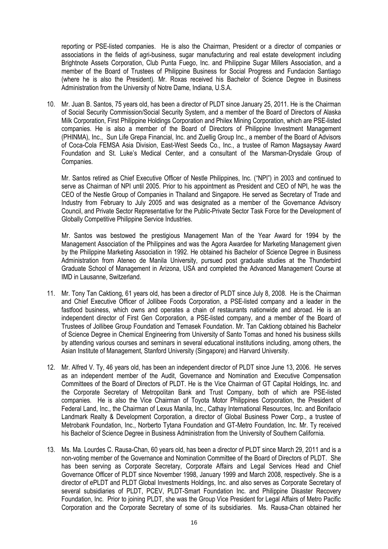reporting or PSE-listed companies. He is also the Chairman, President or a director of companies or associations in the fields of agri-business, sugar manufacturing and real estate development including Brightnote Assets Corporation, Club Punta Fuego, Inc. and Philippine Sugar Millers Association, and a member of the Board of Trustees of Philippine Business for Social Progress and Fundacion Santiago (where he is also the President). Mr. Roxas received his Bachelor of Science Degree in Business Administration from the University of Notre Dame, Indiana, U.S.A.

10. Mr. Juan B. Santos, 75 years old, has been a director of PLDT since January 25, 2011. He is the Chairman of Social Security Commission/Social Security System, and a member of the Board of Directors of Alaska Milk Corporation, First Philippine Holdings Corporation and Philex Mining Corporation, which are PSE-listed companies. He is also a member of the Board of Directors of Philippine Investment Management (PHINMA), Inc., Sun Life Grepa Financial, Inc. and Zuellig Group Inc., a member of the Board of Advisors of Coca-Cola FEMSA Asia Division, East-West Seeds Co., Inc., a trustee of Ramon Magsaysay Award Foundation and St. Luke's Medical Center, and a consultant of the Marsman-Drysdale Group of Companies.

Mr. Santos retired as Chief Executive Officer of Nestle Philippines, Inc. ("NPI") in 2003 and continued to serve as Chairman of NPI until 2005. Prior to his appointment as President and CEO of NPI, he was the CEO of the Nestle Group of Companies in Thailand and Singapore. He served as Secretary of Trade and Industry from February to July 2005 and was designated as a member of the Governance Advisory Council, and Private Sector Representative for the Public-Private Sector Task Force for the Development of Globally Competitive Philippine Service Industries.

Mr. Santos was bestowed the prestigious Management Man of the Year Award for 1994 by the Management Association of the Philippines and was the Agora Awardee for Marketing Management given by the Philippine Marketing Association in 1992. He obtained his Bachelor of Science Degree in Business Administration from Ateneo de Manila University, pursued post graduate studies at the Thunderbird Graduate School of Management in Arizona, USA and completed the Advanced Management Course at IMD in Lausanne, Switzerland.

- 11. Mr. Tony Tan Caktiong, 61 years old, has been a director of PLDT since July 8, 2008. He is the Chairman and Chief Executive Officer of Jollibee Foods Corporation, a PSE-listed company and a leader in the fastfood business, which owns and operates a chain of restaurants nationwide and abroad. He is an independent director of First Gen Corporation, a PSE-listed company, and a member of the Board of Trustees of Jollibee Group Foundation and Temasek Foundation. Mr. Tan Caktiong obtained his Bachelor of Science Degree in Chemical Engineering from University of Santo Tomas and honed his business skills by attending various courses and seminars in several educational institutions including, among others, the Asian Institute of Management, Stanford University (Singapore) and Harvard University.
- 12. Mr. Alfred V. Ty, 46 years old, has been an independent director of PLDT since June 13, 2006. He serves as an independent member of the Audit, Governance and Nomination and Executive Compensation Committees of the Board of Directors of PLDT. He is the Vice Chairman of GT Capital Holdings, Inc. and the Corporate Secretary of Metropolitan Bank and Trust Company, both of which are PSE-listed companies. He is also the Vice Chairman of Toyota Motor Philippines Corporation, the President of Federal Land, Inc., the Chairman of Lexus Manila, Inc., Cathay International Resources, Inc. and Bonifacio Landmark Realty & Development Corporation, a director of Global Business Power Corp., a trustee of Metrobank Foundation, Inc., Norberto Tytana Foundation and GT-Metro Foundation, Inc. Mr. Ty received his Bachelor of Science Degree in Business Administration from the University of Southern California.
- 13. Ms. Ma. Lourdes C. Rausa-Chan, 60 years old, has been a director of PLDT since March 29, 2011 and is a non-voting member of the Governance and Nomination Committee of the Board of Directors of PLDT. She has been serving as Corporate Secretary, Corporate Affairs and Legal Services Head and Chief Governance Officer of PLDT since November 1998, January 1999 and March 2008, respectively. She is a director of ePLDT and PLDT Global Investments Holdings, Inc. and also serves as Corporate Secretary of several subsidiaries of PLDT, PCEV, PLDT-Smart Foundation Inc. and Philippine Disaster Recovery Foundation, Inc. Prior to joining PLDT, she was the Group Vice President for Legal Affairs of Metro Pacific Corporation and the Corporate Secretary of some of its subsidiaries. Ms. Rausa-Chan obtained her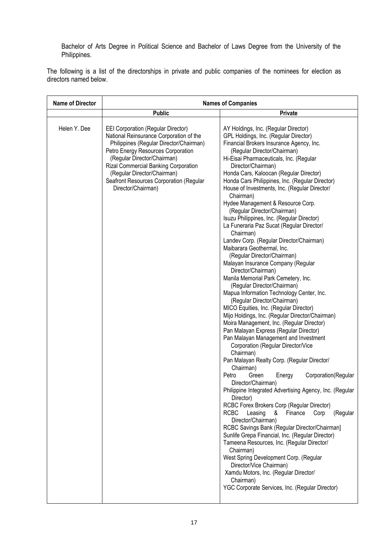Bachelor of Arts Degree in Political Science and Bachelor of Laws Degree from the University of the Philippines.

The following is a list of the directorships in private and public companies of the nominees for election as directors named below.

| <b>Name of Director</b> | <b>Names of Companies</b>                                                                                                                                                                                                                                                                                                                    |                                                                                                                                                                                                                                                                                                                                                                                                                                                                                                                                                                                                                                                                                                                                                                                                                                                                                                                                                                                                                                                                                                                                                                                                                                                                                                                                                                                                                                                                                                                                                                                                                                                                                                                                                                                                                                                                        |  |  |
|-------------------------|----------------------------------------------------------------------------------------------------------------------------------------------------------------------------------------------------------------------------------------------------------------------------------------------------------------------------------------------|------------------------------------------------------------------------------------------------------------------------------------------------------------------------------------------------------------------------------------------------------------------------------------------------------------------------------------------------------------------------------------------------------------------------------------------------------------------------------------------------------------------------------------------------------------------------------------------------------------------------------------------------------------------------------------------------------------------------------------------------------------------------------------------------------------------------------------------------------------------------------------------------------------------------------------------------------------------------------------------------------------------------------------------------------------------------------------------------------------------------------------------------------------------------------------------------------------------------------------------------------------------------------------------------------------------------------------------------------------------------------------------------------------------------------------------------------------------------------------------------------------------------------------------------------------------------------------------------------------------------------------------------------------------------------------------------------------------------------------------------------------------------------------------------------------------------------------------------------------------------|--|--|
|                         | <b>Public</b>                                                                                                                                                                                                                                                                                                                                | Private                                                                                                                                                                                                                                                                                                                                                                                                                                                                                                                                                                                                                                                                                                                                                                                                                                                                                                                                                                                                                                                                                                                                                                                                                                                                                                                                                                                                                                                                                                                                                                                                                                                                                                                                                                                                                                                                |  |  |
| Helen Y. Dee            | <b>EEI Corporation (Regular Director)</b><br>National Reinsurance Corporation of the<br>Philippines (Regular Director/Chairman)<br>Petro Energy Resources Corporation<br>(Regular Director/Chairman)<br>Rizal Commercial Banking Corporation<br>(Regular Director/Chairman)<br>Seafront Resources Corporation (Regular<br>Director/Chairman) | AY Holdings, Inc. (Regular Director)<br>GPL Holdings, Inc. (Regular Director)<br>Financial Brokers Insurance Agency, Inc.<br>(Regular Director/Chairman)<br>Hi-Eisai Pharmaceuticals, Inc. (Regular<br>Director/Chairman)<br>Honda Cars, Kaloocan (Regular Director)<br>Honda Cars Philippines, Inc. (Regular Director)<br>House of Investments, Inc. (Regular Director/<br>Chairman)<br>Hydee Management & Resource Corp.<br>(Regular Director/Chairman)<br>Isuzu Philippines, Inc. (Regular Director)<br>La Funeraria Paz Sucat (Regular Director/<br>Chairman)<br>Landev Corp. (Regular Director/Chairman)<br>Maibarara Geothermal, Inc.<br>(Regular Director/Chairman)<br>Malayan Insurance Company (Regular<br>Director/Chairman)<br>Manila Memorial Park Cemetery, Inc.<br>(Regular Director/Chairman)<br>Mapua Information Technology Center, Inc.<br>(Regular Director/Chairman)<br>MICO Equities, Inc. (Regular Director)<br>Mijo Holdings, Inc. (Regular Director/Chairman)<br>Moira Management, Inc. (Regular Director)<br>Pan Malayan Express (Regular Director)<br>Pan Malayan Management and Investment<br>Corporation (Regular Director/Vice<br>Chairman)<br>Pan Malayan Realty Corp. (Regular Director/<br>Chairman)<br>Petro<br>Green<br>Corporation (Regular<br>Energy<br>Director/Chairman)<br>Philippine Integrated Advertising Agency, Inc. (Regular<br>Director)<br>RCBC Forex Brokers Corp (Regular Director)<br><b>RCBC</b><br>Leasing<br>&<br>Finance<br>(Regular<br>Corp<br>Director/Chairman)<br>RCBC Savings Bank (Regular Director/Chairman]<br>Sunlife Grepa Financial, Inc. (Regular Director)<br>Tameena Resources, Inc. (Regular Director/<br>Chairman)<br>West Spring Development Corp. (Regular<br>Director/Vice Chairman)<br>Xamdu Motors, Inc. (Regular Director/<br>Chairman)<br>YGC Corporate Services, Inc. (Regular Director) |  |  |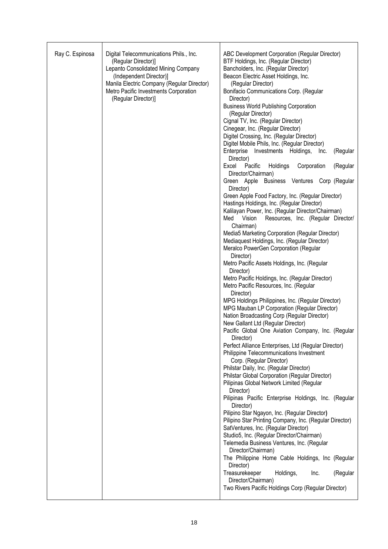| Ray C. Espinosa | Digital Telecommunications Phils., Inc.<br>(Regular Director)]<br>Lepanto Consolidated Mining Company<br>(Independent Director)]<br>Manila Electric Company (Regular Director)<br>Metro Pacific Investments Corporation<br>(Regular Director)] | ABC Development Corporation (Regular Director)<br>BTF Holdings, Inc. (Regular Director)<br>Bancholders, Inc. (Regular Director)<br>Beacon Electric Asset Holdings, Inc.<br>(Regular Director)<br>Bonifacio Communications Corp. (Regular<br>Director)<br><b>Business World Publishing Corporation</b><br>(Regular Director)<br>Cignal TV, Inc. (Regular Director)<br>Cinegear, Inc. (Regular Director)<br>Digitel Crossing, Inc. (Regular Director)<br>Digitel Mobile Phils, Inc. (Regular Director) |  |  |
|-----------------|------------------------------------------------------------------------------------------------------------------------------------------------------------------------------------------------------------------------------------------------|------------------------------------------------------------------------------------------------------------------------------------------------------------------------------------------------------------------------------------------------------------------------------------------------------------------------------------------------------------------------------------------------------------------------------------------------------------------------------------------------------|--|--|
|                 |                                                                                                                                                                                                                                                | Enterprise<br>Investments Holdings,<br>(Regular<br>Inc.<br>Director)                                                                                                                                                                                                                                                                                                                                                                                                                                 |  |  |
|                 |                                                                                                                                                                                                                                                | Corporation<br>(Regular<br>Excel<br>Pacific<br>Holdings<br>Director/Chairman)                                                                                                                                                                                                                                                                                                                                                                                                                        |  |  |
|                 |                                                                                                                                                                                                                                                | Green Apple Business Ventures Corp (Regular<br>Director)                                                                                                                                                                                                                                                                                                                                                                                                                                             |  |  |
|                 |                                                                                                                                                                                                                                                | Green Apple Food Factory, Inc. (Regular Director)<br>Hastings Holdings, Inc. (Regular Director)                                                                                                                                                                                                                                                                                                                                                                                                      |  |  |
|                 |                                                                                                                                                                                                                                                | Kalilayan Power, Inc. (Regular Director/Chairman)<br>Vision<br>Resources, Inc. (Regular Director/<br>Med<br>Chairman)                                                                                                                                                                                                                                                                                                                                                                                |  |  |
|                 |                                                                                                                                                                                                                                                | Media5 Marketing Corporation (Regular Director)<br>Mediaquest Holdings, Inc. (Regular Director)<br>Meralco PowerGen Corporation (Regular<br>Director)                                                                                                                                                                                                                                                                                                                                                |  |  |
|                 |                                                                                                                                                                                                                                                | Metro Pacific Assets Holdings, Inc. (Regular<br>Director)                                                                                                                                                                                                                                                                                                                                                                                                                                            |  |  |
|                 |                                                                                                                                                                                                                                                | Metro Pacific Holdings, Inc. (Regular Director)<br>Metro Pacific Resources, Inc. (Regular<br>Director)                                                                                                                                                                                                                                                                                                                                                                                               |  |  |
|                 |                                                                                                                                                                                                                                                | MPG Holdings Philippines, Inc. (Regular Director)<br>MPG Mauban LP Corporation (Regular Director)<br>Nation Broadcasting Corp (Regular Director)                                                                                                                                                                                                                                                                                                                                                     |  |  |
|                 |                                                                                                                                                                                                                                                | New Gallant Ltd (Regular Director)<br>Pacific Global One Aviation Company, Inc. (Regular                                                                                                                                                                                                                                                                                                                                                                                                             |  |  |
|                 |                                                                                                                                                                                                                                                | Director)<br>Perfect Alliance Enterprises, Ltd (Regular Director)                                                                                                                                                                                                                                                                                                                                                                                                                                    |  |  |
|                 |                                                                                                                                                                                                                                                | Philippine Telecommunications Investment<br>Corp. (Regular Director)                                                                                                                                                                                                                                                                                                                                                                                                                                 |  |  |
|                 |                                                                                                                                                                                                                                                | Philstar Daily, Inc. (Regular Director)<br>Philstar Global Corporation (Regular Director)                                                                                                                                                                                                                                                                                                                                                                                                            |  |  |
|                 |                                                                                                                                                                                                                                                | Pilipinas Global Network Limited (Regular<br>Director)                                                                                                                                                                                                                                                                                                                                                                                                                                               |  |  |
|                 |                                                                                                                                                                                                                                                | Pilipinas Pacific Enterprise Holdings, Inc. (Regular<br>Director)                                                                                                                                                                                                                                                                                                                                                                                                                                    |  |  |
|                 |                                                                                                                                                                                                                                                | Pilipino Star Ngayon, Inc. (Regular Director)<br>Pilipino Star Printing Company, Inc. (Regular Director)                                                                                                                                                                                                                                                                                                                                                                                             |  |  |
|                 |                                                                                                                                                                                                                                                | SatVentures, Inc. (Regular Director)<br>Studio5, Inc. (Regular Director/Chairman)<br>Telemedia Business Ventures, Inc. (Regular                                                                                                                                                                                                                                                                                                                                                                      |  |  |
|                 |                                                                                                                                                                                                                                                | Director/Chairman)<br>The Philippine Home Cable Holdings, Inc (Regular<br>Director)                                                                                                                                                                                                                                                                                                                                                                                                                  |  |  |
|                 |                                                                                                                                                                                                                                                | Treasurekeeper<br>(Regular<br>Holdings,<br>Inc.<br>Director/Chairman)                                                                                                                                                                                                                                                                                                                                                                                                                                |  |  |
|                 |                                                                                                                                                                                                                                                | Two Rivers Pacific Holdings Corp (Regular Director)                                                                                                                                                                                                                                                                                                                                                                                                                                                  |  |  |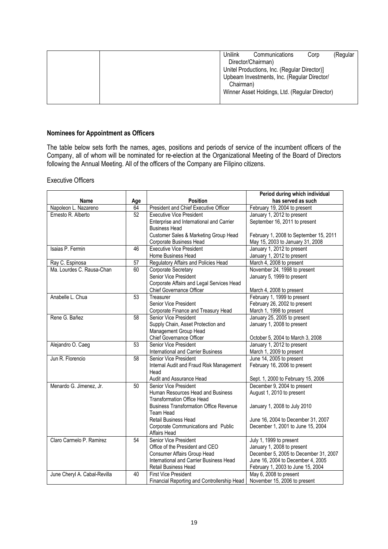| Unilink<br>(Regular<br>Communications<br>Corp  |
|------------------------------------------------|
| Director/Chairman)                             |
| Unitel Productions, Inc. (Regular Director)]   |
| Upbeam Investments, Inc. (Regular Director/    |
| Chairman)                                      |
| Winner Asset Holdings, Ltd. (Regular Director) |
|                                                |

## **Nominees for Appointment as Officers**

The table below sets forth the names, ages, positions and periods of service of the incumbent officers of the Company, all of whom will be nominated for re-election at the Organizational Meeting of the Board of Directors following the Annual Meeting. All of the officers of the Company are Filipino citizens.

## Executive Officers

|                              |    |                                                   | Period during which individual                                    |
|------------------------------|----|---------------------------------------------------|-------------------------------------------------------------------|
| Name<br>Age                  |    | <b>Position</b>                                   | has served as such                                                |
| Napoleon L. Nazareno         | 64 | President and Chief Executive Officer             | February 19, 2004 to present                                      |
| Ernesto R. Alberto           | 52 | <b>Executive Vice President</b>                   | January 1, 2012 to present                                        |
|                              |    | Enterprise and International and Carrier          | September 16, 2011 to present                                     |
|                              |    | <b>Business Head</b>                              |                                                                   |
|                              |    | Customer Sales & Marketing Group Head             | February 1, 2008 to September 15, 2011                            |
|                              |    | Corporate Business Head                           | May 15, 2003 to January 31, 2008                                  |
| Isaias P. Fermin             | 46 | <b>Executive Vice President</b>                   | January 1, 2012 to present                                        |
|                              |    | Home Business Head                                | January 1, 2012 to present                                        |
| Ray C. Espinosa              | 57 | Regulatory Affairs and Policies Head              | March 4, 2008 to present                                          |
| Ma. Lourdes C. Rausa-Chan    | 60 | Corporate Secretary                               | November 24, 1998 to present                                      |
|                              |    | Senior Vice President                             | January 5, 1999 to present                                        |
|                              |    | Corporate Affairs and Legal Services Head         |                                                                   |
|                              |    | Chief Governance Officer                          | March 4, 2008 to present                                          |
| Anabelle L. Chua             | 53 | Treasurer                                         | February 1, 1999 to present                                       |
|                              |    | Senior Vice President                             | February 26, 2002 to present                                      |
|                              |    | Corporate Finance and Treasury Head               | March 1, 1998 to present                                          |
| Rene G. Bañez                | 58 | Senior Vice President                             | January 25, 2005 to present                                       |
|                              |    | Supply Chain, Asset Protection and                | January 1, 2008 to present                                        |
|                              |    | Management Group Head                             |                                                                   |
|                              |    | Chief Governance Officer                          | October 5, 2004 to March 3, 2008                                  |
| Alejandro O. Caeg            | 53 | Senior Vice President                             | January 1, 2012 to present                                        |
|                              |    | International and Carrier Business                | March 1, 2009 to present                                          |
| Jun R. Florencio             | 58 | Senior Vice President                             | June 14, 2005 to present                                          |
|                              |    | Internal Audit and Fraud Risk Management          | February 16, 2006 to present                                      |
|                              |    | Head                                              |                                                                   |
| Menardo G. Jimenez, Jr.      | 50 | Audit and Assurance Head<br>Senior Vice President | Sept. 1, 2000 to February 15, 2006<br>December 9, 2004 to present |
|                              |    | Human Resources Head and Business                 | August 1, 2010 to present                                         |
|                              |    | <b>Transformation Office Head</b>                 |                                                                   |
|                              |    | <b>Business Transformation Office Revenue</b>     | January 1, 2008 to July 2010                                      |
|                              |    | Team Head                                         |                                                                   |
|                              |    | Retail Business Head                              | June 16, 2004 to December 31, 2007                                |
|                              |    | Corporate Communications and Public               | December 1, 2001 to June 15, 2004                                 |
|                              |    | Affairs Head                                      |                                                                   |
| Claro Carmelo P. Ramirez     | 54 | Senior Vice President                             | July 1, 1999 to present                                           |
|                              |    | Office of the President and CEO                   | January 1, 2008 to present                                        |
|                              |    | Consumer Affairs Group Head                       | December 5, 2005 to December 31, 2007                             |
|                              |    | International and Carrier Business Head           | June 16, 2004 to December 4, 2005                                 |
|                              |    | Retail Business Head                              | February 1, 2003 to June 15, 2004                                 |
| June Cheryl A. Cabal-Revilla | 40 | <b>First Vice President</b>                       | May 6, 2008 to present                                            |
|                              |    | Financial Reporting and Controllership Head       | November 15, 2006 to present                                      |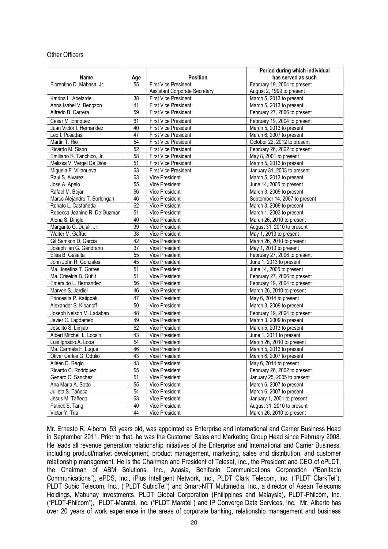#### Other Officers

|                              |                 |                                         | Period during which individual |
|------------------------------|-----------------|-----------------------------------------|--------------------------------|
| Name                         | Age             | <b>Position</b>                         | has served as such             |
| Florentino D. Mabasa, Jr.    | 55              | <b>First Vice President</b>             | February 19, 2004 to present   |
|                              |                 | <b>Assistant Corporate Secretary</b>    | August 2, 1999 to present      |
| Katrina L. Abelarde          | 38              | <b>First Vice President</b>             | March 5, 2013 to present       |
| Anna Isabel V. Bengzon       | 41              | <b>First Vice President</b>             | March 5, 2013 to present       |
| Alfredo B. Carrera           | 59              | First Vice President                    | February 27, 2006 to present   |
| Cesar M. Enriquez            | 61              | <b>First Vice President</b>             | February 19, 2004 to present   |
| Juan Victor I. Hernandez     | 40              | <b>First Vice President</b>             | March 5, 2013 to present       |
| Leo I. Posadas               | 47              | <b>First Vice President</b>             | March 6, 2007 to present       |
| Martin T. Rio                | 54              | First Vice President                    | October 22, 2012 to present    |
| Ricardo M. Sison             | 52              | <b>First Vice President</b>             | February 26, 2002 to present   |
| Emiliano R. Tanchico, Jr.    | $\overline{58}$ | <b>First Vice President</b>             | May 8, 2001 to present         |
| Melissa V. Vergel De Dios    | 51              | First Vice President                    | March 5, 2013 to present       |
| Miguela F. Villanueva        | 63              | <b>First Vice President</b>             | January 31, 2003 to present    |
| Raul S. Alvarez              | 63              | Vice President                          | March 5, 2013 to present       |
| Jose A. Apelo                | 55              | Vice President                          | June 14, 2005 to present       |
| Rafael M. Bejar              | $\overline{56}$ | Vice President                          | March 3, 2009 to present       |
| Marco Alejandro T. Borlongan | 46              | Vice President                          | September 14, 2007 to present  |
| Renato L. Castañeda          | 62              | Vice President                          | March 3, 2009 to present       |
| Rebecca Jeanine R. De Guzman | 51              | Vice President                          | March 1, 2003 to present       |
| Alona S. Dingle              | 40              | Vice President                          | March 26, 2010 to present      |
| Margarito G. Dujali, Jr.     | 39              | Vice President                          | August 31, 2010 to present     |
| Walter M. Gaffud             | 38              | Vice President                          | May 1, 2013 to present         |
| Gil Samson D. Garcia         | 42              | Vice President                          | March 26, 2010 to present      |
| Joseph Ian G. Gendrano       | 37              | Vice President                          | May 1, 2013 to present         |
| Elisa B. Gesalta             | 55              | <b>Vice President</b>                   | February 27, 2006 to present   |
| John John R. Gonzales        | 45              | Vice President                          | June 1, 2013 to present        |
| Ma. Josefina T. Gorres       | $\overline{51}$ | Vice President                          | June 14, 2005 to present       |
| Ma. Criselda B. Guhit        | 51              | Vice President                          | February 27, 2006 to present   |
| Emeraldo L. Hernandez        | 56              | Vice President                          | February 19, 2004 to present   |
| Marven S. Jardiel            | 46              | Vice President                          | March 26, 2010 to present      |
| Princesita P. Katigbak       | 47              | Vice President                          | May 6, 2014 to present         |
| Alexander S. Kibanoff        | 50              | Vice President                          | March 3, 2009 to present       |
| Joseph Nelson M. Ladaban     | 48              | Vice President                          | February 19, 2004 to present   |
| Javier C. Lagdameo           | 49              | Vice President                          | March 3, 2009 to present       |
| Joselito S. Limjap           | 52              | Vice President                          | March 5, 2013 to present       |
| Albert Mitchell L. Locsin    | 43              |                                         | June 1, 2011 to present        |
|                              | 54              | Vice President<br><b>Vice President</b> | March 26, 2010 to present      |
| Luis Ignacio A. Lopa         |                 | Vice President                          |                                |
| Ma. Carmela F. Luque         | 46<br>43        |                                         | March 5, 2013 to present       |
| Oliver Carlos G. Odulio      |                 | Vice President                          | March 6, 2007 to present       |
| Aileen D. Regio              | 43              | Vice President                          | May 6, 2014 to present         |
| Ricardo C. Rodriguez         | $\overline{55}$ | Vice President                          | February 26, 2002 to present   |
| Genaro C. Sanchez            | 51              | Vice President                          | January 25, 2005 to present    |
| Ana Maria A. Sotto           | 55              | Vice President                          | March 6, 2007 to present       |
| Julieta S. Tañeca            | 54              | Vice President                          | March 6, 2007 to present       |
| Jesus M. Tañedo              | 63              | Vice President                          | January 1, 2001 to present     |
| Patrick S. Tang              | 40              | Vice President                          | August 31, 2010 to present     |
| Victor Y. Tria               | 44              | Vice President                          | March 26, 2010 to present      |

Mr. Ernesto R. Alberto, 53 years old, was appointed as Enterprise and International and Carrier Business Head in September 2011. Prior to that, he was the Customer Sales and Marketing Group Head since February 2008. He leads all revenue generation relationship initiatives of the Enterprise and International and Carrier Business, including product/market development, product management, marketing, sales and distribution, and customer relationship management. He is the Chairman and President of Telesat, Inc., the President and CEO of ePLDT, the Chairman of ABM Solutions, Inc., Acasia, Bonifacio Communications Corporation ("Bonifacio Communications"), ePDS, Inc., iPlus Intelligent Network, Inc., PLDT Clark Telecom, Inc. ("PLDT ClarkTel"), PLDT Subic Telecom, Inc., ("PLDT SubicTel") and Smart-NTT Multimedia, Inc., a director of Asean Telecoms Holdings, Mabuhay Investments, PLDT Global Corporation (Philippines and Malaysia), PLDT-Philcom, Inc. ("PLDT-Philcom"), PLDT-Maratel, Inc. ("PLDT Maratel") and IP Converge Data Services, Inc. Mr. Alberto has over 20 years of work experience in the areas of corporate banking, relationship management and business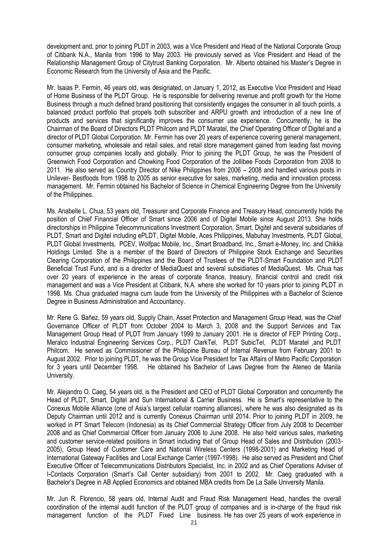development and, prior to joining PLDT in 2003, was a Vice President and Head of the National Corporate Group of Citibank N.A., Manila from 1996 to May 2003. He previously served as Vice President and Head of the Relationship Management Group of Citytrust Banking Corporation. Mr. Alberto obtained his Master's Degree in Economic Research from the University of Asia and the Pacific.

Mr. Isaias P. Fermin, 46 years old, was designated, on January 1, 2012, as Executive Vice President and Head of Home Business of the PLDT Group. He is responsible for delivering revenue and profit growth for the Home Business through a much defined brand positioning that consistently engages the consumer in all touch points, a balanced product portfolio that propels both subscriber and ARPU growth and introduction of a new line of products and services that significantly improves the consumer use experience. Concurrently, he is the Chairman of the Board of Directors PLDT Philcom and PLDT Maratel, the Chief Operating Officer of Digitel and a director of PLDT Global Corporation. Mr. Fermin has over 20 years of experience covering general management, consumer marketing, wholesale and retail sales, and retail store management gained from leading fast moving consumer group companies locally and globally. Prior to joining the PLDT Group, he was the President of Greenwich Food Corporation and Chowking Food Corporation of the Jollibee Foods Corporation from 2008 to 2011. He also served as Country Director of Nike Philippines from 2006 – 2008 and handled various posts in Unilever- Bestfoods from 1998 to 2005 as senior executive for sales, marketing, media and innovation process management. Mr. Fermin obtained his Bachelor of Science in Chemical Engineering Degree from the University of the Philippines.

Ms. Anabelle L. Chua, 53 years old, Treasurer and Corporate Finance and Treasury Head, concurrently holds the position of Chief Financial Officer of Smart since 2006 and of Digitel Mobile since August 2013. She holds directorships in Philippine Telecommunications Investment Corporation, Smart, Digitel and several subsidiaries of PLDT, Smart and Digitel including ePLDT, Digitel Mobile, Aces Philippines, Mabuhay Investments, PLDT Global, PLDT Global Investments, PCEV, Wolfpac Mobile, Inc., Smart Broadband, Inc., Smart e-Money, Inc. and Chikka Holdings Limited. She is a member of the Board of Directors of Philippine Stock Exchange and Securities Clearing Corporation of the Philippines and the Board of Trustees of the PLDT-Smart Foundation and PLDT Beneficial Trust Fund, and is a director of MediaQuest and several subsidiaries of MediaQuest. Ms. Chua has over 20 years of experience in the areas of corporate finance, treasury, financial control and credit risk management and was a Vice President at Citibank, N.A. where she worked for 10 years prior to joining PLDT in 1998. Ms. Chua graduated magna cum laude from the University of the Philippines with a Bachelor of Science Degree in Business Administration and Accountancy.

Mr. Rene G. Bañez, 59 years old, Supply Chain, Asset Protection and Management Group Head, was the Chief Governance Officer of PLDT from October 2004 to March 3, 2008 and the Support Services and Tax Management Group Head of PLDT from January 1999 to January 2001. He is director of FEP Printing Corp., Meralco Industrial Engineering Services Corp., PLDT ClarkTel, PLDT SubicTel, PLDT Maratel ,and PLDT Philcom. He served as Commissioner of the Philippine Bureau of Internal Revenue from February 2001 to August 2002. Prior to joining PLDT, he was the Group Vice President for Tax Affairs of Metro Pacific Corporation for 3 years until December 1998. He obtained his Bachelor of Laws Degree from the Ateneo de Manila University.

Mr. Alejandro O. Caeg, 54 years old, is the President and CEO of PLDT Global Corporation and concurrently the Head of PLDT, Smart, Digitel and Sun International & Carrier Business. He is Smart's representative to the Conexus Mobile Alliance (one of Asia's largest cellular roaming alliances), where he was also designated as its Deputy Chairman until 2012 and is currently Conexus Chairman until 2014. Prior to joining PLDT in 2009, he worked in PT Smart Telecom (Indonesia) as its Chief Commercial Strategy Officer from July 2008 to December 2008 and as Chief Commercial Officer from January 2006 to June 2008. He also held various sales, marketing and customer service-related positions in Smart including that of Group Head of Sales and Distribution (2003- 2005), Group Head of Customer Care and National Wireless Centers (1998-2001) and Marketing Head of International Gateway Facilities and Local Exchange Carrier (1997-1998). He also served as President and Chief Executive Officer of Telecommunications Distributors Specialist, Inc. in 2002 and as Chief Operations Adviser of I-Contacts Corporation (Smart's Call Center subsidiary) from 2001 to 2002. Mr. Caeg graduated with a Bachelor's Degree in AB Applied Economics and obtained MBA credits from De La Salle University Manila.

Mr. Jun R. Florencio, 58 years old, Internal Audit and Fraud Risk Management Head, handles the overall coordination of the internal audit function of the PLDT group of companies and is in-charge of the fraud risk management function of the PLDT Fixed Line business. He has over 25 years of work experience in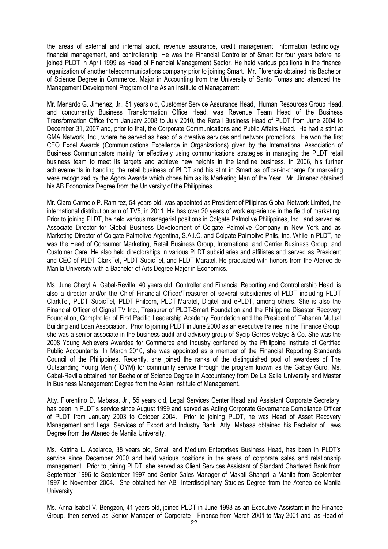the areas of external and internal audit, revenue assurance, credit management, information technology, financial management, and controllership. He was the Financial Controller of Smart for four years before he joined PLDT in April 1999 as Head of Financial Management Sector. He held various positions in the finance organization of another telecommunications company prior to joining Smart. Mr. Florencio obtained his Bachelor of Science Degree in Commerce, Major in Accounting from the University of Santo Tomas and attended the Management Development Program of the Asian Institute of Management.

Mr. Menardo G. Jimenez, Jr., 51 years old, Customer Service Assurance Head, Human Resources Group Head, and concurrently Business Transformation Office Head, was Revenue Team Head of the Business Transformation Office from January 2008 to July 2010, the Retail Business Head of PLDT from June 2004 to December 31, 2007 and, prior to that, the Corporate Communications and Public Affairs Head. He had a stint at GMA Network, Inc., where he served as head of a creative services and network promotions. He won the first CEO Excel Awards (Communications Excellence in Organizations) given by the International Association of Business Communicators mainly for effectively using communications strategies in managing the PLDT retail business team to meet its targets and achieve new heights in the landline business. In 2006, his further achievements in handling the retail business of PLDT and his stint in Smart as officer-in-charge for marketing were recognized by the Agora Awards which chose him as its Marketing Man of the Year. Mr. Jimenez obtained his AB Economics Degree from the University of the Philippines.

Mr. Claro Carmelo P. Ramirez, 54 years old, was appointed as President of Pilipinas Global Network Limited, the international distribution arm of TV5, in 2011. He has over 20 years of work experience in the field of marketing. Prior to joining PLDT, he held various managerial positions in Colgate Palmolive Philippines, Inc., and served as Associate Director for Global Business Development of Colgate Palmolive Company in New York and as Marketing Director of Colgate Palmolive Argentina, S.A.I.C. and Colgate-Palmolive Phils, Inc. While in PLDT, he was the Head of Consumer Marketing, Retail Business Group, International and Carrier Business Group, and Customer Care. He also held directorships in various PLDT subsidiaries and affiliates and served as President and CEO of PLDT ClarkTel, PLDT SubicTel, and PLDT Maratel. He graduated with honors from the Ateneo de Manila University with a Bachelor of Arts Degree Major in Economics.

Ms. June Cheryl A. Cabal-Revilla, 40 years old, Controller and Financial Reporting and Controllership Head, is also a director and/or the Chief Financial Officer/Treasurer of several subsidiaries of PLDT including PLDT ClarkTel, PLDT SubicTel, PLDT-Philcom, PLDT-Maratel, Digitel and ePLDT, among others. She is also the Financial Officer of Cignal TV Inc., Treasurer of PLDT-Smart Foundation and the Philippine Disaster Recovery Foundation, Comptroller of First Pacific Leadership Academy Foundation and the President of Tahanan Mutual Building and Loan Association. Prior to joining PLDT in June 2000 as an executive trainee in the Finance Group, she was a senior associate in the business audit and advisory group of Sycip Gorres Velayo & Co. She was the 2008 Young Achievers Awardee for Commerce and Industry conferred by the Philippine Institute of Certified Public Accountants. In March 2010, she was appointed as a member of the Financial Reporting Standards Council of the Philippines. Recently, she joined the ranks of the distinguished pool of awardees of The Outstanding Young Men (TOYM) for community service through the program known as the Gabay Guro. Ms. Cabal-Revilla obtained her Bachelor of Science Degree in Accountancy from De La Salle University and Master in Business Management Degree from the Asian Institute of Management.

Atty. Florentino D. Mabasa, Jr., 55 years old, Legal Services Center Head and Assistant Corporate Secretary, has been in PLDT's service since August 1999 and served as Acting Corporate Governance Compliance Officer of PLDT from January 2003 to October 2004. Prior to joining PLDT, he was Head of Asset Recovery Management and Legal Services of Export and Industry Bank. Atty. Mabasa obtained his Bachelor of Laws Degree from the Ateneo de Manila University.

Ms. Katrina L. Abelarde, 38 years old, Small and Medium Enterprises Business Head, has been in PLDT's service since December 2000 and held various positions in the areas of corporate sales and relationship management. Prior to joining PLDT, she served as Client Services Assistant of Standard Chartered Bank from September 1996 to September 1997 and Senior Sales Manager of Makati Shangri-la Manila from September 1997 to November 2004. She obtained her AB- Interdisciplinary Studies Degree from the Ateneo de Manila University.

Ms. Anna Isabel V. Bengzon, 41 years old, joined PLDT in June 1998 as an Executive Assistant in the Finance Group, then served as Senior Manager of Corporate Finance from March 2001 to May 2001 and as Head of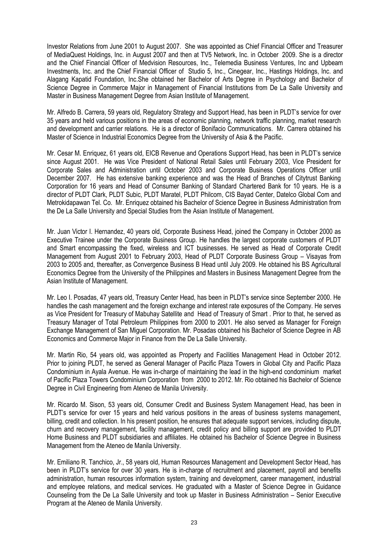Investor Relations from June 2001 to August 2007. She was appointed as Chief Financial Officer and Treasurer of MediaQuest Holdings, Inc. in August 2007 and then at TV5 Network, Inc. in October 2009. She is a director and the Chief Financial Officer of Medvision Resources, Inc., Telemedia Business Ventures, Inc and Upbeam Investments, Inc. and the Chief Financial Officer of Studio 5, Inc., Cinegear, Inc., Hastings Holdings, Inc. and Alagang Kapatid Foundation, Inc.She obtained her Bachelor of Arts Degree in Psychology and Bachelor of Science Degree in Commerce Major in Management of Financial Institutions from De La Salle University and Master in Business Management Degree from Asian Institute of Management.

Mr. Alfredo B. Carrera, 59 years old, Regulatory Strategy and Support Head, has been in PLDT's service for over 35 years and held various positions in the areas of economic planning, network traffic planning, market research and development and carrier relations. He is a director of Bonifacio Communications. Mr. Carrera obtained his Master of Science in Industrial Economics Degree from the University of Asia & the Pacific.

Mr. Cesar M. Enriquez, 61 years old, EICB Revenue and Operations Support Head, has been in PLDT's service since August 2001. He was Vice President of National Retail Sales until February 2003, Vice President for Corporate Sales and Administration until October 2003 and Corporate Business Operations Officer until December 2007. He has extensive banking experience and was the Head of Branches of Citytrust Banking Corporation for 16 years and Head of Consumer Banking of Standard Chartered Bank for 10 years. He is a director of PLDT Clark, PLDT Subic, PLDT Maratel, PLDT Philcom, CIS Bayad Center, Datelco Global Com and Metrokidapawan Tel. Co. Mr. Enriquez obtained his Bachelor of Science Degree in Business Administration from the De La Salle University and Special Studies from the Asian Institute of Management.

Mr. Juan Victor I. Hernandez, 40 years old, Corporate Business Head, joined the Company in October 2000 as Executive Trainee under the Corporate Business Group. He handles the largest corporate customers of PLDT and Smart encompassing the fixed, wireless and ICT businesses. He served as Head of Corporate Credit Management from August 2001 to February 2003, Head of PLDT Corporate Business Group – Visayas from 2003 to 2005 and, thereafter, as Convergence Business B Head until July 2009. He obtained his BS Agricultural Economics Degree from the University of the Philippines and Masters in Business Management Degree from the Asian Institute of Management.

Mr. Leo I. Posadas, 47 years old, Treasury Center Head, has been in PLDT's service since September 2000. He handles the cash management and the foreign exchange and interest rate exposures of the Company. He serves as Vice President for Treasury of Mabuhay Satellite and Head of Treasury of Smart . Prior to that, he served as Treasury Manager of Total Petroleum Philippines from 2000 to 2001. He also served as Manager for Foreign Exchange Management of San Miguel Corporation. Mr. Posadas obtained his Bachelor of Science Degree in AB Economics and Commerce Major in Finance from the De La Salle University.

Mr. Martin Rio, 54 years old, was appointed as Property and Facilities Management Head in October 2012. Prior to joining PLDT, he served as General Manager of Pacific Plaza Towers in Global City and Pacific Plaza Condominium in Ayala Avenue. He was in-charge of maintaining the lead in the high-end condominium market of Pacific Plaza Towers Condominium Corporation from 2000 to 2012. Mr. Rio obtained his Bachelor of Science Degree in Civil Engineering from Ateneo de Manila University.

Mr. Ricardo M. Sison, 53 years old, Consumer Credit and Business System Management Head, has been in PLDT's service for over 15 years and held various positions in the areas of business systems management, billing, credit and collection. In his present position, he ensures that adequate support services, including dispute, churn and recovery management, facility management, credit policy and billing support are provided to PLDT Home Business and PLDT subsidiaries and affiliates. He obtained his Bachelor of Science Degree in Business Management from the Ateneo de Manila University.

Mr. Emiliano R. Tanchico, Jr., 58 years old, Human Resources Management and Development Sector Head, has been in PLDT's service for over 30 years. He is in-charge of recruitment and placement, payroll and benefits administration, human resources information system, training and development, career management, industrial and employee relations, and medical services. He graduated with a Master of Science Degree in Guidance Counseling from the De La Salle University and took up Master in Business Administration – Senior Executive Program at the Ateneo de Manila University.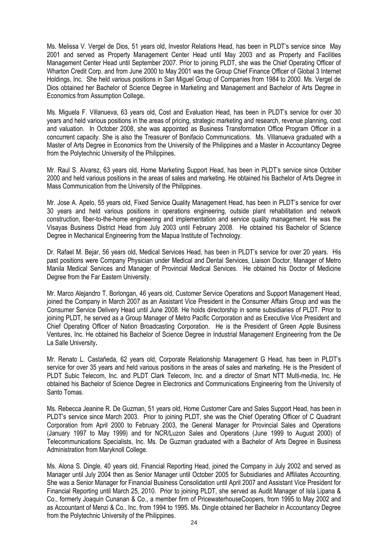Ms. Melissa V. Vergel de Dios, 51 years old, Investor Relations Head, has been in PLDT's service since May 2001 and served as Property Management Center Head until May 2003 and as Property and Facilities Management Center Head until September 2007. Prior to joining PLDT, she was the Chief Operating Officer of Wharton Credit Corp. and from June 2000 to May 2001 was the Group Chief Finance Officer of Global 3 Internet Holdings, Inc. She held various positions in San Miguel Group of Companies from 1984 to 2000. Ms. Vergel de Dios obtained her Bachelor of Science Degree in Marketing and Management and Bachelor of Arts Degree in Economics from Assumption College**.**

Ms. Miguela F. Villanueva, 63 years old, Cost and Evaluation Head, has been in PLDT's service for over 30 years and held various positions in the areas of pricing, strategic marketing and research, revenue planning, cost and valuation. In October 2008, she was appointed as Business Transformation Office Program Officer in a concurrent capacity. She is also the Treasurer of Bonifacio Communications. Ms. Villanueva graduated with a Master of Arts Degree in Economics from the University of the Philippines and a Master in Accountancy Degree from the Polytechnic University of the Philippines.

Mr. Raul S. Alvarez, 63 years old, Home Marketing Support Head, has been in PLDT's service since October 2000 and held various positions in the areas of sales and marketing. He obtained his Bachelor of Arts Degree in Mass Communication from the University of the Philippines.

Mr. Jose A. Apelo, 55 years old, Fixed Service Quality Management Head, has been in PLDT's service for over 30 years and held various positions in operations engineering, outside plant rehabilitation and network construction, fiber-to-the-home engineering and implementation and service quality management. He was the Visayas Business District Head from July 2003 until February 2008. He obtained his Bachelor of Science Degree in Mechanical Engineering from the Mapua Institute of Technology.

Dr. Rafael M. Bejar, 56 years old, Medical Services Head, has been in PLDT's service for over 20 years. His past positions were Company Physician under Medical and Dental Services, Liaison Doctor, Manager of Metro Manila Medical Services and Manager of Provincial Medical Services. He obtained his Doctor of Medicine Degree from the Far Eastern University.

Mr. Marco Alejandro T. Borlongan, 46 years old, Customer Service Operations and Support Management Head, joined the Company in March 2007 as an Assistant Vice President in the Consumer Affairs Group and was the Consumer Service Delivery Head until June 2008. He holds directorship in some subsidiaries of PLDT. Prior to joining PLDT, he served as a Group Manager of Metro Pacific Corporation and as Executive Vice President and Chief Operating Officer of Nation Broadcasting Corporation. He is the President of Green Apple Business Ventures, Inc. He obtained his Bachelor of Science Degree in Industrial Management Engineering from the De La Salle University**.**

Mr. Renato L. Castañeda, 62 years old, Corporate Relationship Management G Head, has been in PLDT's service for over 35 years and held various positions in the areas of sales and marketing. He is the President of PLDT Subic Telecom, Inc. and PLDT Clark Telecom, Inc. and a director of Smart NTT Multi-media, Inc. He obtained his Bachelor of Science Degree in Electronics and Communications Engineering from the University of Santo Tomas.

Ms. Rebecca Jeanine R. De Guzman, 51 years old, Home Customer Care and Sales Support Head, has been in PLDT's service since March 2003. Prior to joining PLDT, she was the Chief Operating Officer of C Quadrant Corporation from April 2000 to February 2003, the General Manager for Provincial Sales and Operations (January 1997 to May 1999) and for NCR/Luzon Sales and Operations (June 1999 to August 2000) of Telecommunications Specialists, Inc. Ms. De Guzman graduated with a Bachelor of Arts Degree in Business Administration from Maryknoll College.

Ms. Alona S. Dingle, 40 years old, Financial Reporting Head, joined the Company in July 2002 and served as Manager until July 2004 then as Senior Manager until October 2005 for Subsidiaries and Affiliates Accounting. She was a Senior Manager for Financial Business Consolidation until April 2007 and Assistant Vice President for Financial Reporting until March 25, 2010. Prior to joining PLDT, she served as Audit Manager of Isla Lipana & Co., formerly Joaquin Cunanan & Co., a member firm of PricewaterhouseCoopers, from 1995 to May 2002 and as Accountant of Menzi & Co., Inc. from 1994 to 1995. Ms. Dingle obtained her Bachelor in Accountancy Degree from the Polytechnic University of the Philippines.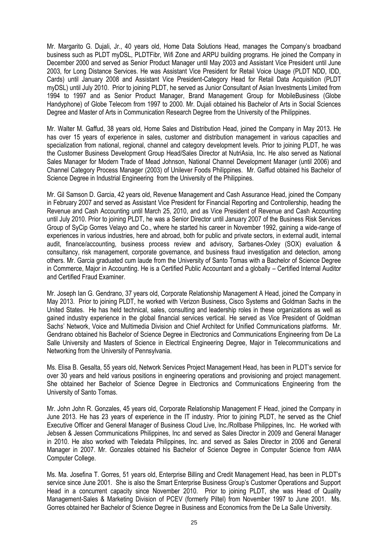Mr. Margarito G. Dujali, Jr., 40 years old, Home Data Solutions Head, manages the Company's broadband business such as PLDT myDSL, PLDTFibr, Wifi Zone and ARPU building programs. He joined the Company in December 2000 and served as Senior Product Manager until May 2003 and Assistant Vice President until June 2003, for Long Distance Services. He was Assistant Vice President for Retail Voice Usage (PLDT NDD, IDD, Cards) until January 2008 and Assistant Vice President-Category Head for Retail Data Acquisition (PLDT myDSL) until July 2010. Prior to joining PLDT, he served as Junior Consultant of Asian Investments Limited from 1994 to 1997 and as Senior Product Manager, Brand Management Group for MobileBusiness (Globe Handyphone) of Globe Telecom from 1997 to 2000. Mr. Dujali obtained his Bachelor of Arts in Social Sciences Degree and Master of Arts in Communication Research Degree from the University of the Philippines.

Mr. Walter M. Gaffud, 38 years old, Home Sales and Distribution Head, joined the Company in May 2013. He has over 15 years of experience in sales, customer and distribution management in various capacities and specialization from national, regional, channel and category development levels. Prior to joining PLDT, he was the Customer Business Development Group Head/Sales Director at NutriAsia, Inc. He also served as National Sales Manager for Modern Trade of Mead Johnson, National Channel Development Manager (until 2006) and Channel Category Process Manager (2003) of Unilever Foods Philippines. Mr. Gaffud obtained his Bachelor of Science Degree in Industrial Engineering from the University of the Philippines.

Mr. Gil Samson D. Garcia, 42 years old, Revenue Management and Cash Assurance Head, joined the Company in February 2007 and served as Assistant Vice President for Financial Reporting and Controllership, heading the Revenue and Cash Accounting until March 25, 2010, and as Vice President of Revenue and Cash Accounting until July 2010. Prior to joining PLDT, he was a Senior Director until January 2007 of the Business Risk Services Group of SyCip Gorres Velayo and Co., where he started his career in November 1992, gaining a wide-range of experiences in various industries, here and abroad, both for public and private sectors, in external audit, internal audit, finance/accounting, business process review and advisory, Sarbanes-Oxley (SOX) evaluation & consultancy, risk management, corporate governance, and business fraud investigation and detection, among others. Mr. Garcia graduated cum laude from the University of Santo Tomas with a Bachelor of Science Degree in Commerce, Major in Accounting. He is a Certified Public Accountant and a globally – Certified Internal Auditor and Certified Fraud Examiner.

Mr. Joseph Ian G. Gendrano, 37 years old, Corporate Relationship Management A Head, joined the Company in May 2013. Prior to joining PLDT, he worked with Verizon Business, Cisco Systems and Goldman Sachs in the United States. He has held technical, sales, consulting and leadership roles in these organizations as well as gained industry experience in the global financial services vertical. He served as Vice President of Goldman Sachs' Network, Voice and Multimedia Division and Chief Architect for Unified Communications platforms. Mr. Gendrano obtained his Bachelor of Science Degree in Electronics and Communications Engineering from De La Salle University and Masters of Science in Electrical Engineering Degree, Major in Telecommunications and Networking from the University of Pennsylvania.

Ms. Elisa B. Gesalta, 55 years old, Network Services Project Management Head, has been in PLDT's service for over 30 years and held various positions in engineering operations and provisioning and project management. She obtained her Bachelor of Science Degree in Electronics and Communications Engineering from the University of Santo Tomas.

Mr. John John R. Gonzales, 45 years old, Corporate Relationship Management F Head, joined the Company in June 2013. He has 23 years of experience in the IT industry. Prior to joining PLDT, he served as the Chief Executive Officer and General Manager of Business Cloud Live, Inc./Rollbase Philippines, Inc. He worked with Jebsen & Jessen Communications Philippines, Inc and served as Sales Director in 2009 and General Manager in 2010. He also worked with Teledata Philippines, Inc. and served as Sales Director in 2006 and General Manager in 2007. Mr. Gonzales obtained his Bachelor of Science Degree in Computer Science from AMA Computer College.

Ms. Ma. Josefina T. Gorres, 51 years old, Enterprise Billing and Credit Management Head, has been in PLDT's service since June 2001. She is also the Smart Enterprise Business Group's Customer Operations and Support Head in a concurrent capacity since November 2010. Prior to joining PLDT, she was Head of Quality Management-Sales & Marketing Division of PCEV (formerly Piltel) from November 1997 to June 2001. Ms. Gorres obtained her Bachelor of Science Degree in Business and Economics from the De La Salle University.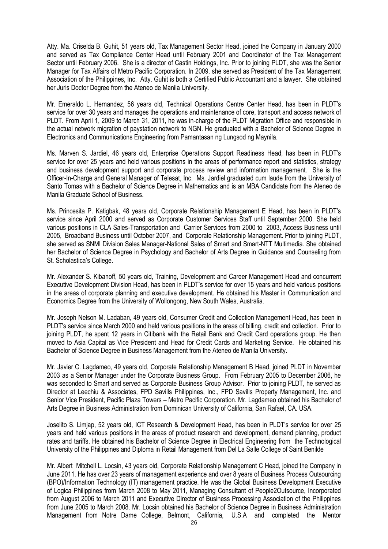Atty. Ma. Criselda B. Guhit, 51 years old, Tax Management Sector Head, joined the Company in January 2000 and served as Tax Compliance Center Head until February 2001 and Coordinator of the Tax Management Sector until February 2006. She is a director of Castin Holdings, Inc. Prior to joining PLDT, she was the Senior Manager for Tax Affairs of Metro Pacific Corporation. In 2009, she served as President of the Tax Management Association of the Philippines, Inc. Atty. Guhit is both a Certified Public Accountant and a lawyer. She obtained her Juris Doctor Degree from the Ateneo de Manila University.

Mr. Emeraldo L. Hernandez, 56 years old, Technical Operations Centre Center Head, has been in PLDT's service for over 30 years and manages the operations and maintenance of core, transport and access network of PLDT. From April 1, 2009 to March 31, 2011, he was in-charge of the PLDT Migration Office and responsible in the actual network migration of paystation network to NGN. He graduated with a Bachelor of Science Degree in Electronics and Communications Engineering from Pamantasan ng Lungsod ng Maynila.

Ms. Marven S. Jardiel, 46 years old, Enterprise Operations Support Readiness Head, has been in PLDT's service for over 25 years and held various positions in the areas of performance report and statistics, strategy and business development support and corporate process review and information management. She is the Officer-In-Charge and General Manager of Telesat, Inc. Ms. Jardiel graduated cum laude from the University of Santo Tomas with a Bachelor of Science Degree in Mathematics and is an MBA Candidate from the Ateneo de Manila Graduate School of Business.

Ms. Princesita P. Katigbak, 48 years old, Corporate Relationship Management E Head, has been in PLDT's service since April 2000 and served as Corporate Customer Services Staff until September 2000. She held various positions in CLA Sales-Transportation and Carrier Services from 2000 to 2003, Access Business until 2005, Broadband Business until October 2007, and Corporate Relationship Management. Prior to joining PLDT, she served as SNMI Division Sales Manager-National Sales of Smart and Smart-NTT Multimedia. She obtained her Bachelor of Science Degree in Psychology and Bachelor of Arts Degree in Guidance and Counseling from St. Scholastica's College.

Mr. Alexander S. Kibanoff, 50 years old, Training, Development and Career Management Head and concurrent Executive Development Division Head, has been in PLDT's service for over 15 years and held various positions in the areas of corporate planning and executive development. He obtained his Master in Communication and Economics Degree from the University of Wollongong, New South Wales, Australia.

Mr. Joseph Nelson M. Ladaban, 49 years old, Consumer Credit and Collection Management Head, has been in PLDT's service since March 2000 and held various positions in the areas of billing, credit and collection. Prior to joining PLDT, he spent 12 years in Citibank with the Retail Bank and Credit Card operations group. He then moved to Asia Capital as Vice President and Head for Credit Cards and Marketing Service. He obtained his Bachelor of Science Degree in Business Management from the Ateneo de Manila University.

Mr. Javier C. Lagdameo, 49 years old, Corporate Relationship Management B Head, joined PLDT in November 2003 as a Senior Manager under the Corporate Business Group. From February 2005 to December 2006, he was seconded to Smart and served as Corporate Business Group Advisor. Prior to joining PLDT, he served as Director at Leechiu & Associates, FPD Savills Philippines, Inc., FPD Savills Property Management, Inc. and Senior Vice President, Pacific Plaza Towers – Metro Pacific Corporation. Mr. Lagdameo obtained his Bachelor of Arts Degree in Business Administration from Dominican University of California, San Rafael, CA. USA.

Joselito S. Limjap, 52 years old, ICT Research & Development Head, has been in PLDT's service for over 25 years and held various positions in the areas of product research and development, demand planning, product rates and tariffs. He obtained his Bachelor of Science Degree in Electrical Engineering from the Technological University of the Philippines and Diploma in Retail Management from Del La Salle College of Saint Benilde

Mr. Albert Mitchell L. Locsin, 43 years old, Corporate Relationship Management C Head, joined the Company in June 2011. He has over 23 years of management experience and over 8 years of Business Process Outsourcing (BPO)/Information Technology (IT) management practice. He was the Global Business Development Executive of Logica Philippines from March 2008 to May 2011, Managing Consultant of People2Outsource, Incorporated from August 2006 to March 2011 and Executive Director of Business Processing Association of the Philippines from June 2005 to March 2008. Mr. Locsin obtained his Bachelor of Science Degree in Business Administration Management from Notre Dame College, Belmont, California, U.S.A and completed the Mentor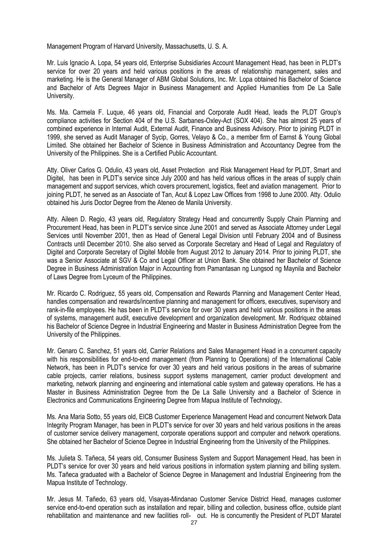Management Program of Harvard University, Massachusetts, U. S. A.

Mr. Luis Ignacio A. Lopa, 54 years old, Enterprise Subsidiaries Account Management Head, has been in PLDT's service for over 20 years and held various positions in the areas of relationship management, sales and marketing. He is the General Manager of ABM Global Solutions, Inc. Mr. Lopa obtained his Bachelor of Science and Bachelor of Arts Degrees Major in Business Management and Applied Humanities from De La Salle University.

Ms. Ma. Carmela F. Luque, 46 years old, Financial and Corporate Audit Head, leads the PLDT Group's compliance activities for Section 404 of the U.S. Sarbanes-Oxley-Act (SOX 404). She has almost 25 years of combined experience in Internal Audit, External Audit, Finance and Business Advisory. Prior to joining PLDT in 1999, she served as Audit Manager of Sycip, Gorres, Velayo & Co., a member firm of Earnst & Young Global Limited. She obtained her Bachelor of Science in Business Administration and Accountancy Degree from the University of the Philippines. She is a Certified Public Accountant.

Atty. Oliver Carlos G. Odulio, 43 years old, Asset Protection and Risk Management Head for PLDT, Smart and Digitel, has been in PLDT's service since July 2000 and has held various offices in the areas of supply chain management and support services, which covers procurement, logistics, fleet and aviation management. Prior to joining PLDT, he served as an Associate of Tan, Acut & Lopez Law Offices from 1998 to June 2000. Atty. Odulio obtained his Juris Doctor Degree from the Ateneo de Manila University.

Atty. Aileen D. Regio, 43 years old, Regulatory Strategy Head and concurrently Supply Chain Planning and Procurement Head, has been in PLDT's service since June 2001 and served as Associate Attorney under Legal Services until November 2001, then as Head of General Legal Division until February 2004 and of Business Contracts until December 2010. She also served as Corporate Secretary and Head of Legal and Regulatory of Digitel and Corporate Secretary of Digitel Mobile from August 2012 to January 2014. Prior to joining PLDT, she was a Senior Associate at SGV & Co and Legal Officer at Union Bank. She obtained her Bachelor of Science Degree in Business Administration Major in Accounting from Pamantasan ng Lungsod ng Maynila and Bachelor of Laws Degree from Lyceum of the Philippines.

Mr. Ricardo C. Rodriguez, 55 years old, Compensation and Rewards Planning and Management Center Head, handles compensation and rewards/incentive planning and management for officers, executives, supervisory and rank-in-file employees. He has been in PLDT's service for over 30 years and held various positions in the areas of systems, management audit, executive development and organization development. Mr. Rodriquez obtained his Bachelor of Science Degree in Industrial Engineering and Master in Business Administration Degree from the University of the Philippines.

Mr. Genaro C. Sanchez, 51 years old, Carrier Relations and Sales Management Head in a concurrent capacity with his responsibilities for end-to-end management (from Planning to Operations) of the International Cable Network, has been in PLDT's service for over 30 years and held various positions in the areas of submarine cable projects, carrier relations, business support systems management, carrier product development and marketing, network planning and engineering and international cable system and gateway operations. He has a Master in Business Administration Degree from the De La Salle University and a Bachelor of Science in Electronics and Communications Engineering Degree from Mapua Institute of Technology**.**

Ms. Ana Maria Sotto, 55 years old, EICB Customer Experience Management Head and concurrent Network Data Integrity Program Manager, has been in PLDT's service for over 30 years and held various positions in the areas of customer service delivery management, corporate operations support and computer and network operations. She obtained her Bachelor of Science Degree in Industrial Engineering from the University of the Philippines.

Ms. Julieta S. Tañeca, 54 years old, Consumer Business System and Support Management Head, has been in PLDT's service for over 30 years and held various positions in information system planning and billing system. Ms. Tañeca graduated with a Bachelor of Science Degree in Management and Industrial Engineering from the Mapua Institute of Technology.

Mr. Jesus M. Tañedo, 63 years old, Visayas-Mindanao Customer Service District Head, manages customer service end-to-end operation such as installation and repair, billing and collection, business office, outside plant rehabilitation and maintenance and new facilities roll- out. He is concurrently the President of PLDT Maratel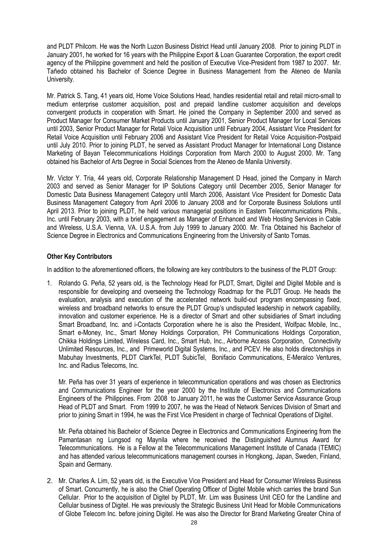and PLDT Philcom. He was the North Luzon Business District Head until January 2008. Prior to joining PLDT in January 2001, he worked for 16 years with the Philippine Export & Loan Guarantee Corporation, the export credit agency of the Philippine government and held the position of Executive Vice-President from 1987 to 2007. Mr. Tañedo obtained his Bachelor of Science Degree in Business Management from the Ateneo de Manila University.

Mr. Patrick S. Tang, 41 years old, Home Voice Solutions Head, handles residential retail and retail micro-small to medium enterprise customer acquisition, post and prepaid landline customer acquisition and develops convergent products in cooperation with Smart. He joined the Company in September 2000 and served as Product Manager for Consumer Market Products until January 2001, Senior Product Manager for Local Services until 2003, Senior Product Manager for Retail Voice Acquisition until February 2004, Assistant Vice President for Retail Voice Acquisition until February 2006 and Assistant Vice President for Retail Voice Acquisition-Postpaid until July 2010. Prior to joining PLDT, he served as Assistant Product Manager for International Long Distance Marketing of Bayan Telecommunications Holdings Corporation from March 2000 to August 2000. Mr. Tang obtained his Bachelor of Arts Degree in Social Sciences from the Ateneo de Manila University.

Mr. Victor Y. Tria, 44 years old, Corporate Relationship Management D Head, joined the Company in March 2003 and served as Senior Manager for IP Solutions Category until December 2005, Senior Manager for Domestic Data Business Management Category until March 2006, Assistant Vice President for Domestic Data Business Management Category from April 2006 to January 2008 and for Corporate Business Solutions until April 2013. Prior to joining PLDT, he held various managerial positions in Eastern Telecommunications Phils., Inc. until February 2003, with a brief engagement as Manager of Enhanced and Web Hosting Services in Cable and Wireless, U.S.A. Vienna, VA. U.S.A. from July 1999 to January 2000. Mr. Tria Obtained his Bachelor of Science Degree in Electronics and Communications Engineering from the University of Santo Tomas.

## **Other Key Contributors**

In addition to the aforementioned officers, the following are key contributors to the business of the PLDT Group:

1. Rolando G. Peña, 52 years old, is the Technology Head for PLDT, Smart, Digitel and Digitel Mobile and is responsible for developing and overseeing the Technology Roadmap for the PLDT Group. He heads the evaluation, analysis and execution of the accelerated network build-out program encompassing fixed, wireless and broadband networks to ensure the PLDT Group's undisputed leadership in network capability, innovation and customer experience. He is a director of Smart and other subsidiaries of Smart including Smart Broadband, Inc. and i-Contacts Corporation where he is also the President, Wolfpac Mobile, Inc., Smart e-Money, Inc., Smart Money Holdings Corporation, PH Communications Holdings Corporation, Chikka Holdings Limited, Wireless Card, Inc., Smart Hub, Inc., Airborne Access Corporation, Connectivity Unlimited Resources, Inc., and Primeworld Digital Systems, Inc., and PCEV. He also holds directorships in Mabuhay Investments, PLDT ClarkTel, PLDT SubicTel, Bonifacio Communications, E-Meralco Ventures, Inc. and Radius Telecoms, Inc.

Mr. Peña has over 31 years of experience in telecommunication operations and was chosen as Electronics and Communications Engineer for the year 2000 by the Institute of Electronics and Communications Engineers of the Philippines. From 2008 to January 2011, he was the Customer Service Assurance Group Head of PLDT and Smart. From 1999 to 2007, he was the Head of Network Services Division of Smart and prior to joining Smart in 1994, he was the First Vice President in charge of Technical Operations of Digitel.

Mr. Peña obtained his Bachelor of Science Degree in Electronics and Communications Engineering from the Pamantasan ng Lungsod ng Maynila where he received the Distinguished Alumnus Award for Telecommunications. He is a Fellow at the Telecommunications Management Institute of Canada (TEMIC) and has attended various telecommunications management courses in Hongkong, Japan, Sweden, Finland, Spain and Germany.

2. Mr. Charles A. Lim, 52 years old, is the Executive Vice President and Head for Consumer Wireless Business of Smart. Concurrently, he is also the Chief Operating Officer of Digitel Mobile which carries the brand Sun Cellular. Prior to the acquisition of Digitel by PLDT, Mr. Lim was Business Unit CEO for the Landline and Cellular business of Digitel. He was previously the Strategic Business Unit Head for Mobile Communications of Globe Telecom Inc. before joining Digitel. He was also the Director for Brand Marketing Greater China of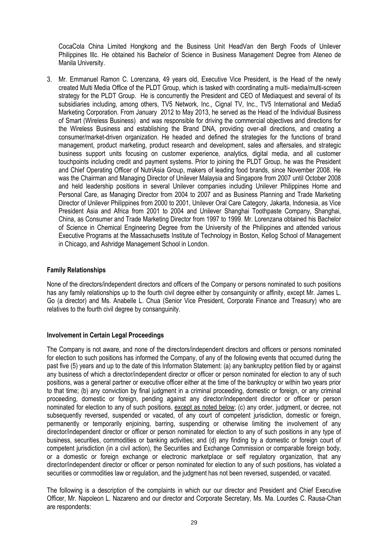CocaCola China Limited Hongkong and the Business Unit HeadVan den Bergh Foods of Unilever Philippines Illc. He obtained his Bachelor of Science in Business Management Degree from Ateneo de Manila University.

3. Mr. Emmanuel Ramon C. Lorenzana, 49 years old, Executive Vice President, is the Head of the newly created Multi Media Office of the PLDT Group, which is tasked with coordinating a multi- media/multi-screen strategy for the PLDT Group. He is concurrently the President and CEO of Mediaquest and several of its subsidiaries including, among others, TV5 Network, Inc., Cignal TV, Inc., TV5 International and Media5 Marketing Corporation. From January 2012 to May 2013, he served as the Head of the Individual Business of Smart (Wireless Business) and was responsible for driving the commercial objectives and directions for the Wireless Business and establishing the Brand DNA, providing over-all directions, and creating a consumer/market-driven organization. He headed and defined the strategies for the functions of brand management, product marketing, product research and development, sales and aftersales, and strategic business support units focusing on customer experience, analytics, digital media, and all customer touchpoints including credit and payment systems. Prior to joining the PLDT Group, he was the President and Chief Operating Officer of NutriAsia Group, makers of leading food brands, since November 2008. He was the Chairman and Managing Director of Unilever Malaysia and Singapore from 2007 until October 2008 and held leadership positions in several Unilever companies including Unilever Philippines Home and Personal Care, as Managing Director from 2004 to 2007 and as Business Planning and Trade Marketing Director of Unilever Philippines from 2000 to 2001, Unilever Oral Care Category, Jakarta, Indonesia, as Vice President Asia and Africa from 2001 to 2004 and Unilever Shanghai Toothpaste Company, Shanghai, China, as Consumer and Trade Marketing Director from 1997 to 1999. Mr. Lorenzana obtained his Bachelor of Science in Chemical Engineering Degree from the University of the Philippines and attended various Executive Programs at the Massachusetts Institute of Technology in Boston, Kellog School of Management in Chicago, and Ashridge Management School in London.

## **Family Relationships**

None of the directors/independent directors and officers of the Company or persons nominated to such positions has any family relationships up to the fourth civil degree either by consanguinity or affinity, except Mr. James L. Go (a director) and Ms. Anabelle L. Chua (Senior Vice President, Corporate Finance and Treasury) who are relatives to the fourth civil degree by consanguinity.

## **Involvement in Certain Legal Proceedings**

The Company is not aware, and none of the directors/independent directors and officers or persons nominated for election to such positions has informed the Company, of any of the following events that occurred during the past five (5) years and up to the date of this Information Statement: (a) any bankruptcy petition filed by or against any business of which a director/independent director or officer or person nominated for election to any of such positions, was a general partner or executive officer either at the time of the bankruptcy or within two years prior to that time; (b) any conviction by final judgment in a criminal proceeding, domestic or foreign, or any criminal proceeding, domestic or foreign, pending against any director/independent director or officer or person nominated for election to any of such positions, except as noted below; (c) any order, judgment, or decree, not subsequently reversed, suspended or vacated, of any court of competent jurisdiction, domestic or foreign, permanently or temporarily enjoining, barring, suspending or otherwise limiting the involvement of any director/independent director or officer or person nominated for election to any of such positions in any type of business, securities, commodities or banking activities; and (d) any finding by a domestic or foreign court of competent jurisdiction (in a civil action), the Securities and Exchange Commission or comparable foreign body, or a domestic or foreign exchange or electronic marketplace or self regulatory organization, that any director/independent director or officer or person nominated for election to any of such positions, has violated a securities or commodities law or regulation, and the judgment has not been reversed, suspended, or vacated.

The following is a description of the complaints in which our our director and President and Chief Executive Officer, Mr. Napoleon L. Nazareno and our director and Corporate Secretary, Ms. Ma. Lourdes C. Rausa-Chan are respondents: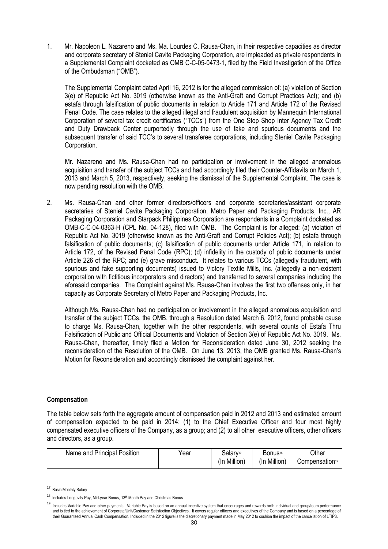1. Mr. Napoleon L. Nazareno and Ms. Ma. Lourdes C. Rausa-Chan, in their respective capacities as director and corporate secretary of Steniel Cavite Packaging Corporation, are impleaded as private respondents in a Supplemental Complaint docketed as OMB C-C-05-0473-1, filed by the Field Investigation of the Office of the Ombudsman ("OMB").

 The Supplemental Complaint dated April 16, 2012 is for the alleged commission of: (a) violation of Section 3(e) of Republic Act No. 3019 (otherwise known as the Anti-Graft and Corrupt Practices Act); and (b) estafa through falsification of public documents in relation to Article 171 and Article 172 of the Revised Penal Code. The case relates to the alleged illegal and fraudulent acquisition by Mannequin International Corporation of several tax credit certificates ("TCCs") from the One Stop Shop Inter Agency Tax Credit and Duty Drawback Center purportedly through the use of fake and spurious documents and the subsequent transfer of said TCC's to several transferee corporations, including Steniel Cavite Packaging Corporation.

 Mr. Nazareno and Ms. Rausa-Chan had no participation or involvement in the alleged anomalous acquisition and transfer of the subject TCCs and had accordingly filed their Counter-Affidavits on March 1, 2013 and March 5, 2013, respectively, seeking the dismissal of the Supplemental Complaint. The case is now pending resolution with the OMB.

2. Ms. Rausa-Chan and other former directors/officers and corporate secretaries/assistant corporate secretaries of Steniel Cavite Packaging Corporation, Metro Paper and Packaging Products, Inc., AR Packaging Corporation and Starpack Philippines Corporation are respondents in a Complaint docketed as OMB-C-C-04-0363-H (CPL No. 04-128), filed with OMB. The Complaint is for alleged: (a) violation of Republic Act No. 3019 (otherwise known as the Anti-Graft and Corrupt Policies Act); (b) estafa through falsification of public documents; (c) falsification of public documents under Article 171, in relation to Article 172, of the Revised Penal Code (RPC); (d) infidelity in the custody of public documents under Article 226 of the RPC; and (e) grave misconduct. It relates to various TCCs (allegedly fraudulent, with spurious and fake supporting documents) issued to Victory Textile Mills, Inc. (allegedly a non-existent corporation with fictitious incorporators and directors) and transferred to several companies including the aforesaid companies. The Complaint against Ms. Rausa-Chan involves the first two offenses only, in her capacity as Corporate Secretary of Metro Paper and Packaging Products, Inc.

Although Ms. Rausa-Chan had no participation or involvement in the alleged anomalous acquisition and transfer of the subject TCCs, the OMB, through a Resolution dated March 6, 2012, found probable cause to charge Ms. Rausa-Chan, together with the other respondents, with several counts of Estafa Thru Falsification of Public and Official Documents and Violation of Section 3(e) of Republic Act No. 3019. Ms. Rausa-Chan, thereafter, timely filed a Motion for Reconsideration dated June 30, 2012 seeking the reconsideration of the Resolution of the OMB. On June 13, 2013, the OMB granted Ms. Rausa-Chan's Motion for Reconsideration and accordingly dismissed the complaint against her.

## **Compensation**

The table below sets forth the aggregate amount of compensation paid in 2012 and 2013 and estimated amount of compensation expected to be paid in 2014: (1) to the Chief Executive Officer and four most highly compensated executive officers of the Company, as a group; and (2) to all other executive officers, other officers and directors, as a group.

| Name and Principal Position | Year | Salary <sup>17</sup> | <b>Bonus</b> <sup>18</sup> | Other                      |
|-----------------------------|------|----------------------|----------------------------|----------------------------|
|                             |      | (In Million)         | (In Million)               | Compensation <sup>19</sup> |

<sup>&</sup>lt;sup>17</sup> Basic Monthly Salary

-

<sup>18</sup> Includes Longevity Pay, Mid-year Bonus, 13<sup>th</sup> Month Pay and Christmas Bonus

<sup>&</sup>lt;sup>19</sup> Includes Variable Pay and other payments. Variable Pay is based on an annual incentive system that encourages and rewards both individual and group/team performance and is tied to the achievement of Corporate/Unit/Customer Satisfaction Objectives. It covers regular officers and executives of the Company and is based on a percentage of their Guaranteed Annual Cash Compensation. Included in the 2012 figure is the discretionary payment made in May 2012 to cushion the impact of the cancellation of LTIP3.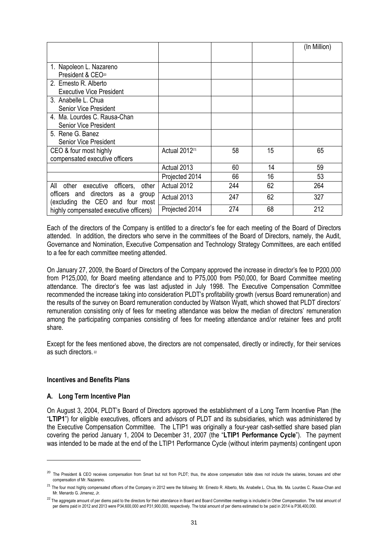|                                                                       |                           |     |    | (In Million) |
|-----------------------------------------------------------------------|---------------------------|-----|----|--------------|
|                                                                       |                           |     |    |              |
| 1. Napoleon L. Nazareno                                               |                           |     |    |              |
| President & CEO <sup>20</sup>                                         |                           |     |    |              |
| 2. Ernesto R. Alberto                                                 |                           |     |    |              |
| <b>Executive Vice President</b>                                       |                           |     |    |              |
| 3. Anabelle L. Chua                                                   |                           |     |    |              |
| Senior Vice President                                                 |                           |     |    |              |
| 4. Ma. Lourdes C. Rausa-Chan                                          |                           |     |    |              |
| <b>Senior Vice President</b>                                          |                           |     |    |              |
| 5. Rene G. Banez                                                      |                           |     |    |              |
| <b>Senior Vice President</b>                                          |                           |     |    |              |
| CEO & four most highly                                                | Actual 2012 <sup>21</sup> | 58  | 15 | 65           |
| compensated executive officers                                        |                           |     |    |              |
|                                                                       | Actual 2013               | 60  | 14 | 59           |
|                                                                       | Projected 2014            | 66  | 16 | 53           |
| other<br>executive officers,<br>other<br>All                          | Actual 2012               | 244 | 62 | 264          |
| officers and directors as a group<br>(excluding the CEO and four most | Actual 2013               | 247 | 62 | 327          |
| highly compensated executive officers)                                | Projected 2014            | 274 | 68 | 212          |

Each of the directors of the Company is entitled to a director's fee for each meeting of the Board of Directors attended. In addition, the directors who serve in the committees of the Board of Directors, namely, the Audit, Governance and Nomination, Executive Compensation and Technology Strategy Committees, are each entitled to a fee for each committee meeting attended.

On January 27, 2009, the Board of Directors of the Company approved the increase in director's fee to P200,000 from P125,000, for Board meeting attendance and to P75,000 from P50,000, for Board Committee meeting attendance. The director's fee was last adjusted in July 1998. The Executive Compensation Committee recommended the increase taking into consideration PLDT's profitability growth (versus Board remuneration) and the results of the survey on Board remuneration conducted by Watson Wyatt, which showed that PLDT directors' remuneration consisting only of fees for meeting attendance was below the median of directors' remuneration among the participating companies consisting of fees for meeting attendance and/or retainer fees and profit share.

Except for the fees mentioned above, the directors are not compensated, directly or indirectly, for their services as such directors.<sup>22</sup>

## **Incentives and Benefits Plans**

## **A. Long Term Incentive Plan**

1

On August 3, 2004, PLDT's Board of Directors approved the establishment of a Long Term Incentive Plan (the "**LTIP1**") for eligible executives, officers and advisors of PLDT and its subsidiaries, which was administered by the Executive Compensation Committee. The LTIP1 was originally a four-year cash-settled share based plan covering the period January 1, 2004 to December 31, 2007 (the "**LTIP1 Performance Cycle**"). The payment was intended to be made at the end of the LTIP1 Performance Cycle (without interim payments) contingent upon

<sup>&</sup>lt;sup>20</sup> The President & CEO receives compensation from Smart but not from PLDT; thus, the above compensation table does not include the salaries, bonuses and other compensation of Mr. Nazareno.

<sup>&</sup>lt;sup>21</sup> The four most highly compensated officers of the Company in 2012 were the following: Mr. Ernesto R. Alberto, Ms. Anabelle L. Chua, Ms. Ma. Lourdes C. Rausa-Chan and Mr. Menardo G. Jimenez, Jr.

<sup>&</sup>lt;sup>22</sup> The aggregate amount of per diems paid to the directors for their attendance in Board and Board Committee meetings is included in Other Compensation. The total amount of per diems paid in 2012 and 2013 were P34,600,000 and P31,900,000, respectively. The total amount of per diems estimated to be paid in 2014 is P36,400,000.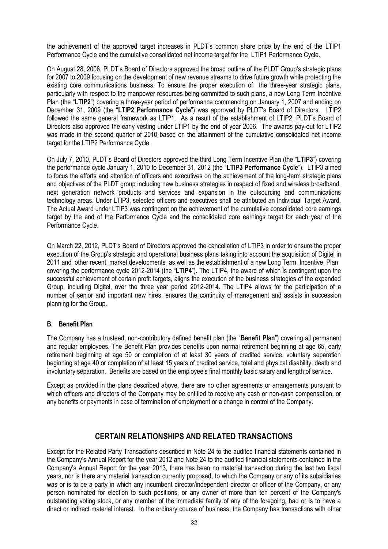the achievement of the approved target increases in PLDT's common share price by the end of the LTIP1 Performance Cycle and the cumulative consolidated net income target for the LTIP1 Performance Cycle.

On August 28, 2006, PLDT's Board of Directors approved the broad outline of the PLDT Group's strategic plans for 2007 to 2009 focusing on the development of new revenue streams to drive future growth while protecting the existing core communications business. To ensure the proper execution of the three-year strategic plans, particularly with respect to the manpower resources being committed to such plans, a new Long Term Incentive Plan (the "**LTIP2**") covering a three-year period of performance commencing on January 1, 2007 and ending on December 31, 2009 (the "**LTIP2 Performance Cycle**") was approved by PLDT's Board of Directors. LTIP2 followed the same general framework as LTIP1. As a result of the establishment of LTIP2, PLDT's Board of Directors also approved the early vesting under LTIP1 by the end of year 2006. The awards pay-out for LTIP2 was made in the second quarter of 2010 based on the attainment of the cumulative consolidated net income target for the LTIP2 Performance Cycle.

On July 7, 2010, PLDT's Board of Directors approved the third Long Term Incentive Plan (the "**LTIP3**") covering the performance cycle January 1, 2010 to December 31, 2012 (the "**LTIP3 Performance Cycle**"). LTIP3 aimed to focus the efforts and attention of officers and executives on the achievement of the long-term strategic plans and objectives of the PLDT group including new business strategies in respect of fixed and wireless broadband, next generation network products and services and expansion in the outsourcing and communications technology areas. Under LTIP3, selected officers and executives shall be attributed an Individual Target Award. The Actual Award under LTIP3 was contingent on the achievement of the cumulative consolidated core earnings target by the end of the Performance Cycle and the consolidated core earnings target for each year of the Performance Cycle.

On March 22, 2012, PLDT's Board of Directors approved the cancellation of LTIP3 in order to ensure the proper execution of the Group's strategic and operational business plans taking into account the acquisition of Digitel in 2011 and other recent market developments as well as the establishment of a new Long Term Incentive Plan covering the performance cycle 2012-2014 (the "**LTIP4**"). The LTIP4, the award of which is contingent upon the successful achievement of certain profit targets, aligns the execution of the business strategies of the expanded Group, including Digitel, over the three year period 2012-2014. The LTIP4 allows for the participation of a number of senior and important new hires, ensures the continuity of management and assists in succession planning for the Group.

## **B. Benefit Plan**

The Company has a trusteed, non-contributory defined benefit plan (the "**Benefit Plan**") covering all permanent and regular employees. The Benefit Plan provides benefits upon normal retirement beginning at age 65, early retirement beginning at age 50 or completion of at least 30 years of credited service, voluntary separation beginning at age 40 or completion of at least 15 years of credited service, total and physical disability, death and involuntary separation. Benefits are based on the employee's final monthly basic salary and length of service.

Except as provided in the plans described above, there are no other agreements or arrangements pursuant to which officers and directors of the Company may be entitled to receive any cash or non-cash compensation, or any benefits or payments in case of termination of employment or a change in control of the Company.

## **CERTAIN RELATIONSHIPS AND RELATED TRANSACTIONS**

Except for the Related Party Transactions described in Note 24 to the audited financial statements contained in the Company's Annual Report for the year 2012 and Note 24 to the audited financial statements contained in the Company's Annual Report for the year 2013, there has been no material transaction during the last two fiscal years, nor is there any material transaction currently proposed, to which the Company or any of its subsidiaries was or is to be a party in which any incumbent director/independent director or officer of the Company, or any person nominated for election to such positions, or any owner of more than ten percent of the Company's outstanding voting stock, or any member of the immediate family of any of the foregoing, had or is to have a direct or indirect material interest. In the ordinary course of business, the Company has transactions with other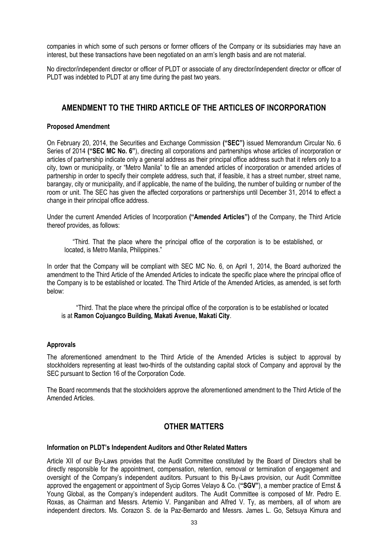companies in which some of such persons or former officers of the Company or its subsidiaries may have an interest, but these transactions have been negotiated on an arm's length basis and are not material.

No director/independent director or officer of PLDT or associate of any director/independent director or officer of PLDT was indebted to PLDT at any time during the past two years.

## **AMENDMENT TO THE THIRD ARTICLE OF THE ARTICLES OF INCORPORATION**

## **Proposed Amendment**

On February 20, 2014, the Securities and Exchange Commission **("SEC")** issued Memorandum Circular No. 6 Series of 2014 **("SEC MC No. 6"**), directing all corporations and partnerships whose articles of incorporation or articles of partnership indicate only a general address as their principal office address such that it refers only to a city, town or municipality, or "Metro Manila" to file an amended articles of incorporation or amended articles of partnership in order to specify their complete address, such that, if feasible, it has a street number, street name, barangay, city or municipality, and if applicable, the name of the building, the number of building or number of the room or unit. The SEC has given the affected corporations or partnerships until December 31, 2014 to effect a change in their principal office address.

Under the current Amended Articles of Incorporation **("Amended Articles")** of the Company, the Third Article thereof provides, as follows:

 "Third. That the place where the principal office of the corporation is to be established, or located, is Metro Manila, Philippines."

In order that the Company will be compliant with SEC MC No. 6, on April 1, 2014, the Board authorized the amendment to the Third Article of the Amended Articles to indicate the specific place where the principal office of the Company is to be established or located. The Third Article of the Amended Articles, as amended, is set forth below:

 "Third. That the place where the principal office of the corporation is to be established or located is at **Ramon Cojuangco Building, Makati Avenue, Makati City**.

## **Approvals**

The aforementioned amendment to the Third Article of the Amended Articles is subject to approval by stockholders representing at least two-thirds of the outstanding capital stock of Company and approval by the SEC pursuant to Section 16 of the Corporation Code.

The Board recommends that the stockholders approve the aforementioned amendment to the Third Article of the Amended Articles.

## **OTHER MATTERS**

## **Information on PLDT's Independent Auditors and Other Related Matters**

Article XII of our By-Laws provides that the Audit Committee constituted by the Board of Directors shall be directly responsible for the appointment, compensation, retention, removal or termination of engagement and oversight of the Company's independent auditors. Pursuant to this By-Laws provision, our Audit Committee approved the engagement or appointment of Sycip Gorres Velayo & Co. (**"SGV"**), a member practice of Ernst & Young Global, as the Company's independent auditors. The Audit Committee is composed of Mr. Pedro E. Roxas, as Chairman and Messrs. Artemio V. Panganiban and Alfred V. Ty, as members, all of whom are independent directors. Ms. Corazon S. de la Paz-Bernardo and Messrs. James L. Go, Setsuya Kimura and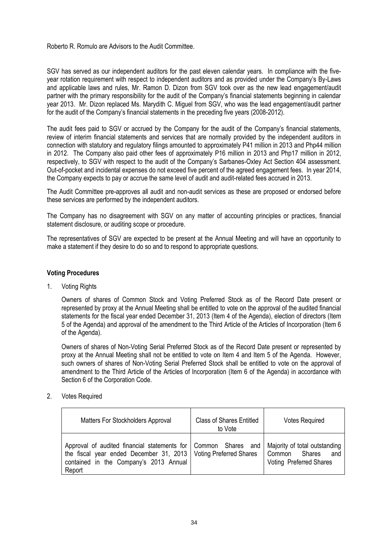## Roberto R. Romulo are Advisors to the Audit Committee.

SGV has served as our independent auditors for the past eleven calendar years. In compliance with the fiveyear rotation requirement with respect to independent auditors and as provided under the Company's By-Laws and applicable laws and rules, Mr. Ramon D. Dizon from SGV took over as the new lead engagement/audit partner with the primary responsibility for the audit of the Company's financial statements beginning in calendar year 2013. Mr. Dizon replaced Ms. Marydith C. Miguel from SGV, who was the lead engagement/audit partner for the audit of the Company's financial statements in the preceding five years (2008-2012).

The audit fees paid to SGV or accrued by the Company for the audit of the Company's financial statements, review of interim financial statements and services that are normally provided by the independent auditors in connection with statutory and regulatory filings amounted to approximately P41 million in 2013 and Php44 million in 2012. The Company also paid other fees of approximately P16 million in 2013 and Php17 million in 2012, respectively, to SGV with respect to the audit of the Company's Sarbanes-Oxley Act Section 404 assessment. Out-of-pocket and incidental expenses do not exceed five percent of the agreed engagement fees. In year 2014, the Company expects to pay or accrue the same level of audit and audit-related fees accrued in 2013.

The Audit Committee pre-approves all audit and non-audit services as these are proposed or endorsed before these services are performed by the independent auditors.

The Company has no disagreement with SGV on any matter of accounting principles or practices, financial statement disclosure, or auditing scope or procedure.

The representatives of SGV are expected to be present at the Annual Meeting and will have an opportunity to make a statement if they desire to do so and to respond to appropriate questions.

#### **Voting Procedures**

1. Voting Rights

Owners of shares of Common Stock and Voting Preferred Stock as of the Record Date present or represented by proxy at the Annual Meeting shall be entitled to vote on the approval of the audited financial statements for the fiscal year ended December 31, 2013 (Item 4 of the Agenda), election of directors (Item 5 of the Agenda) and approval of the amendment to the Third Article of the Articles of Incorporation (Item 6 of the Agenda).

Owners of shares of Non-Voting Serial Preferred Stock as of the Record Date present or represented by proxy at the Annual Meeting shall not be entitled to vote on Item 4 and Item 5 of the Agenda. However, such owners of shares of Non-Voting Serial Preferred Stock shall be entitled to vote on the approval of amendment to the Third Article of the Articles of Incorporation (Item 6 of the Agenda) in accordance with Section 6 of the Corporation Code.

## 2. Votes Required

| Matters For Stockholders Approval                                                                                                                                     | <b>Class of Shares Entitled</b><br>to Vote | <b>Votes Required</b>                                                               |
|-----------------------------------------------------------------------------------------------------------------------------------------------------------------------|--------------------------------------------|-------------------------------------------------------------------------------------|
| Approval of audited financial statements for<br>the fiscal year ended December 31, 2013   Voting Preferred Shares<br>contained in the Company's 2013 Annual<br>Report | Common Shares and                          | Majority of total outstanding<br>Common<br>Shares<br>and<br>Voting Preferred Shares |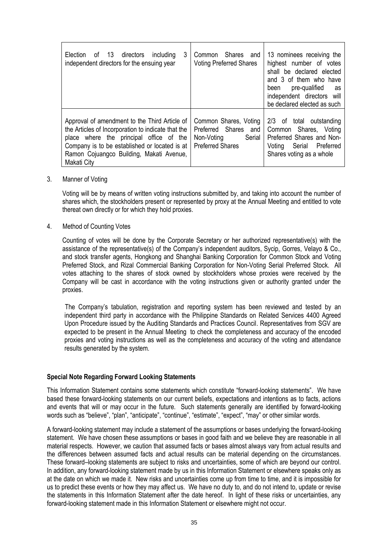| 3<br>Election of 13 directors<br>including<br>independent directors for the ensuing year                                                                                                                                                                   | Shares and<br>Common<br><b>Voting Preferred Shares</b>                                           | 13 nominees receiving the<br>highest number of votes<br>shall be declared elected<br>and 3 of them who have<br>pre-qualified<br>been<br>as<br>independent directors will<br>be declared elected as such |
|------------------------------------------------------------------------------------------------------------------------------------------------------------------------------------------------------------------------------------------------------------|--------------------------------------------------------------------------------------------------|---------------------------------------------------------------------------------------------------------------------------------------------------------------------------------------------------------|
| Approval of amendment to the Third Article of<br>the Articles of Incorporation to indicate that the<br>place where the principal office of the<br>Company is to be established or located is at<br>Ramon Cojuangco Building, Makati Avenue,<br>Makati City | Common Shares, Voting<br>Preferred Shares and<br>Non-Voting<br>Serial<br><b>Preferred Shares</b> | 2/3 of total outstanding<br>Common Shares, Voting<br>Preferred Shares and Non-<br>Serial Preferred<br>Voting<br>Shares voting as a whole                                                                |

## 3. Manner of Voting

Voting will be by means of written voting instructions submitted by, and taking into account the number of shares which, the stockholders present or represented by proxy at the Annual Meeting and entitled to vote thereat own directly or for which they hold proxies.

#### 4. Method of Counting Votes

Counting of votes will be done by the Corporate Secretary or her authorized representative(s) with the assistance of the representative(s) of the Company's independent auditors, Sycip, Gorres, Velayo & Co., and stock transfer agents, Hongkong and Shanghai Banking Corporation for Common Stock and Voting Preferred Stock, and Rizal Commercial Banking Corporation for Non-Voting Serial Preferred Stock. All votes attaching to the shares of stock owned by stockholders whose proxies were received by the Company will be cast in accordance with the voting instructions given or authority granted under the proxies.

 The Company's tabulation, registration and reporting system has been reviewed and tested by an independent third party in accordance with the Philippine Standards on Related Services 4400 Agreed Upon Procedure issued by the Auditing Standards and Practices Council. Representatives from SGV are expected to be present in the Annual Meeting to check the completeness and accuracy of the encoded proxies and voting instructions as well as the completeness and accuracy of the voting and attendance results generated by the system.

## **Special Note Regarding Forward Looking Statements**

This Information Statement contains some statements which constitute "forward-looking statements". We have based these forward-looking statements on our current beliefs, expectations and intentions as to facts, actions and events that will or may occur in the future. Such statements generally are identified by forward-looking words such as "believe", "plan", "anticipate", "continue", "estimate", "expect", "may" or other similar words.

A forward-looking statement may include a statement of the assumptions or bases underlying the forward-looking statement. We have chosen these assumptions or bases in good faith and we believe they are reasonable in all material respects. However, we caution that assumed facts or bases almost always vary from actual results and the differences between assumed facts and actual results can be material depending on the circumstances. These forward–looking statements are subject to risks and uncertainties, some of which are beyond our control. In addition, any forward-looking statement made by us in this Information Statement or elsewhere speaks only as at the date on which we made it. New risks and uncertainties come up from time to time, and it is impossible for us to predict these events or how they may affect us. We have no duty to, and do not intend to, update or revise the statements in this Information Statement after the date hereof. In light of these risks or uncertainties, any forward-looking statement made in this Information Statement or elsewhere might not occur.